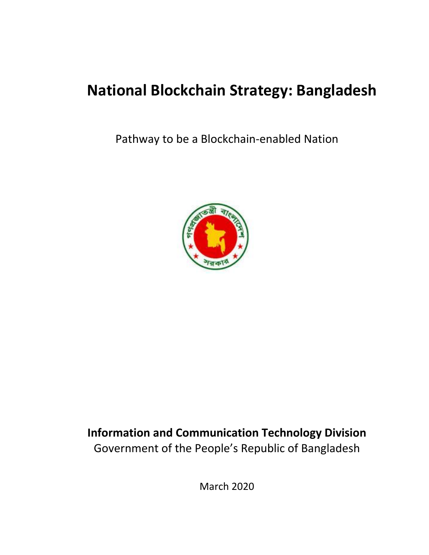# **National Blockchain Strategy: Bangladesh**

Pathway to be a Blockchain-enabled Nation



# **Information and Communication Technology Division** Government of the People's Republic of Bangladesh

March 2020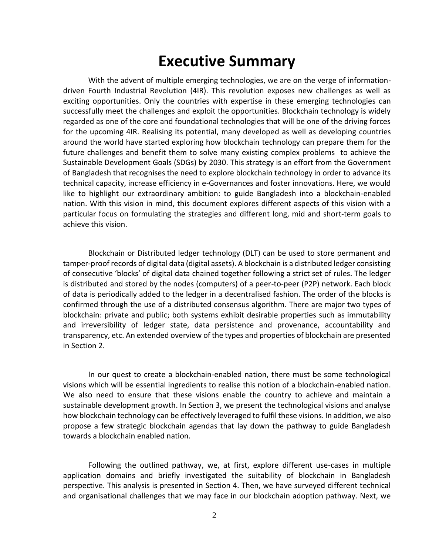# **Executive Summary**

With the advent of multiple emerging technologies, we are on the verge of informationdriven Fourth Industrial Revolution (4IR). This revolution exposes new challenges as well as exciting opportunities. Only the countries with expertise in these emerging technologies can successfully meet the challenges and exploit the opportunities. Blockchain technology is widely regarded as one of the core and foundational technologies that will be one of the driving forces for the upcoming 4IR. Realising its potential, many developed as well as developing countries around the world have started exploring how blockchain technology can prepare them for the future challenges and benefit them to solve many existing complex problems to achieve the Sustainable Development Goals (SDGs) by 2030. This strategy is an effort from the Government of Bangladesh that recognises the need to explore blockchain technology in order to advance its technical capacity, increase efficiency in e-Governances and foster innovations. Here, we would like to highlight our extraordinary ambition: to guide Bangladesh into a blockchain-enabled nation. With this vision in mind, this document explores different aspects of this vision with a particular focus on formulating the strategies and different long, mid and short-term goals to achieve this vision.

Blockchain or Distributed ledger technology (DLT) can be used to store permanent and tamper-proof records of digital data (digital assets). A blockchain is a distributed ledger consisting of consecutive 'blocks' of digital data chained together following a strict set of rules. The ledger is distributed and stored by the nodes (computers) of a peer-to-peer (P2P) network. Each block of data is periodically added to the ledger in a decentralised fashion. The order of the blocks is confirmed through the use of a distributed consensus algorithm. There are major two types of blockchain: private and public; both systems exhibit desirable properties such as immutability and irreversibility of ledger state, data persistence and provenance, accountability and transparency, etc. An extended overview of the types and properties of blockchain are presented in Section 2.

In our quest to create a blockchain-enabled nation, there must be some technological visions which will be essential ingredients to realise this notion of a blockchain-enabled nation. We also need to ensure that these visions enable the country to achieve and maintain a sustainable development growth. In Section 3, we present the technological visions and analyse how blockchain technology can be effectively leveraged to fulfil these visions. In addition, we also propose a few strategic blockchain agendas that lay down the pathway to guide Bangladesh towards a blockchain enabled nation.

Following the outlined pathway, we, at first, explore different use-cases in multiple application domains and briefly investigated the suitability of blockchain in Bangladesh perspective. This analysis is presented in Section 4. Then, we have surveyed different technical and organisational challenges that we may face in our blockchain adoption pathway. Next, we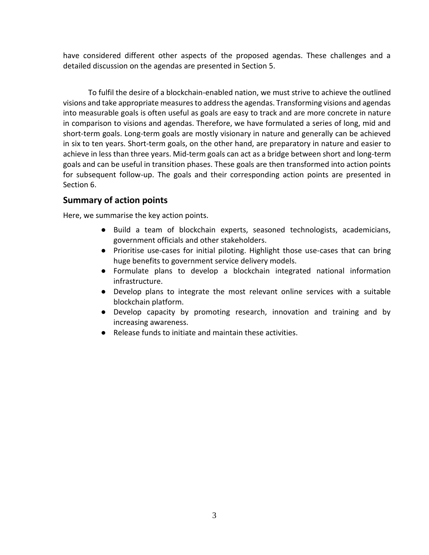have considered different other aspects of the proposed agendas. These challenges and a detailed discussion on the agendas are presented in Section 5.

To fulfil the desire of a blockchain-enabled nation, we must strive to achieve the outlined visions and take appropriate measures to address the agendas. Transforming visions and agendas into measurable goals is often useful as goals are easy to track and are more concrete in nature in comparison to visions and agendas. Therefore, we have formulated a series of long, mid and short-term goals. Long-term goals are mostly visionary in nature and generally can be achieved in six to ten years. Short-term goals, on the other hand, are preparatory in nature and easier to achieve in less than three years. Mid-term goals can act as a bridge between short and long-term goals and can be useful in transition phases. These goals are then transformed into action points for subsequent follow-up. The goals and their corresponding action points are presented in Section 6.

#### **Summary of action points**

Here, we summarise the key action points.

- Build a team of blockchain experts, seasoned technologists, academicians, government officials and other stakeholders.
- Prioritise use-cases for initial piloting. Highlight those use-cases that can bring huge benefits to government service delivery models.
- Formulate plans to develop a blockchain integrated national information infrastructure.
- Develop plans to integrate the most relevant online services with a suitable blockchain platform.
- Develop capacity by promoting research, innovation and training and by increasing awareness.
- Release funds to initiate and maintain these activities.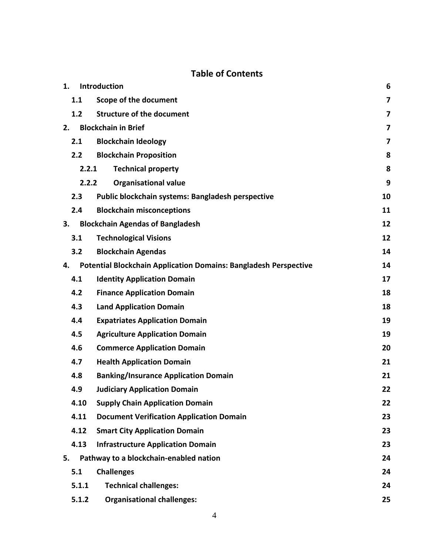## **Table of Contents**

| 1.    | Introduction                                                            | 6  |
|-------|-------------------------------------------------------------------------|----|
| 1.1   | <b>Scope of the document</b>                                            | 7  |
| 1.2   | <b>Structure of the document</b>                                        | 7  |
| 2.    | <b>Blockchain in Brief</b>                                              | 7  |
| 2.1   | <b>Blockchain Ideology</b>                                              | 7  |
| 2.2   | <b>Blockchain Proposition</b>                                           | 8  |
|       | <b>Technical property</b><br>2.2.1                                      | 8  |
|       | <b>Organisational value</b><br>2.2.2                                    | 9  |
| 2.3   | Public blockchain systems: Bangladesh perspective                       | 10 |
| 2.4   | <b>Blockchain misconceptions</b>                                        | 11 |
| 3.    | <b>Blockchain Agendas of Bangladesh</b>                                 | 12 |
| 3.1   | <b>Technological Visions</b>                                            | 12 |
| 3.2   | <b>Blockchain Agendas</b>                                               | 14 |
| 4.    | <b>Potential Blockchain Application Domains: Bangladesh Perspective</b> | 14 |
| 4.1   | <b>Identity Application Domain</b>                                      | 17 |
| 4.2   | <b>Finance Application Domain</b>                                       | 18 |
| 4.3   | <b>Land Application Domain</b>                                          | 18 |
| 4.4   | <b>Expatriates Application Domain</b>                                   | 19 |
| 4.5   | <b>Agriculture Application Domain</b>                                   | 19 |
| 4.6   | <b>Commerce Application Domain</b>                                      | 20 |
| 4.7   | <b>Health Application Domain</b>                                        | 21 |
| 4.8   | <b>Banking/Insurance Application Domain</b>                             | 21 |
| 4.9   | <b>Judiciary Application Domain</b>                                     | 22 |
| 4.10  | <b>Supply Chain Application Domain</b>                                  | 22 |
| 4.11  | <b>Document Verification Application Domain</b>                         | 23 |
| 4.12  | <b>Smart City Application Domain</b>                                    | 23 |
| 4.13  | <b>Infrastructure Application Domain</b>                                | 23 |
| 5.    | Pathway to a blockchain-enabled nation                                  | 24 |
| 5.1   | <b>Challenges</b>                                                       | 24 |
| 5.1.1 | <b>Technical challenges:</b>                                            | 24 |
| 5.1.2 | <b>Organisational challenges:</b>                                       | 25 |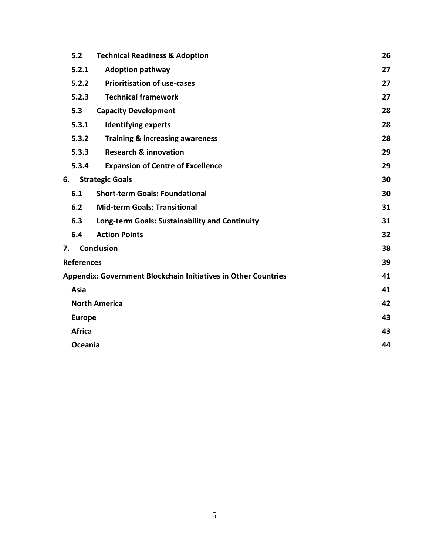|    | 5.2               | <b>Technical Readiness &amp; Adoption</b>                             | 26 |
|----|-------------------|-----------------------------------------------------------------------|----|
|    | 5.2.1             | <b>Adoption pathway</b>                                               | 27 |
|    | 5.2.2             | <b>Prioritisation of use-cases</b>                                    | 27 |
|    | 5.2.3             | <b>Technical framework</b>                                            | 27 |
|    | 5.3               | <b>Capacity Development</b>                                           | 28 |
|    | 5.3.1             | <b>Identifying experts</b>                                            | 28 |
|    | 5.3.2             | <b>Training &amp; increasing awareness</b>                            | 28 |
|    | 5.3.3             | <b>Research &amp; innovation</b>                                      | 29 |
|    | 5.3.4             | <b>Expansion of Centre of Excellence</b>                              | 29 |
| 6. |                   | <b>Strategic Goals</b>                                                | 30 |
|    | 6.1               | <b>Short-term Goals: Foundational</b>                                 | 30 |
|    | 6.2               | <b>Mid-term Goals: Transitional</b>                                   | 31 |
|    | 6.3               | Long-term Goals: Sustainability and Continuity                        | 31 |
|    | 6.4               | <b>Action Points</b>                                                  | 32 |
| 7. |                   | <b>Conclusion</b>                                                     | 38 |
|    | <b>References</b> |                                                                       | 39 |
|    |                   | <b>Appendix: Government Blockchain Initiatives in Other Countries</b> | 41 |
|    | Asia              |                                                                       | 41 |
|    |                   | <b>North America</b>                                                  | 42 |
|    | <b>Europe</b>     |                                                                       | 43 |
|    | <b>Africa</b>     |                                                                       | 43 |
|    | Oceania           |                                                                       | 44 |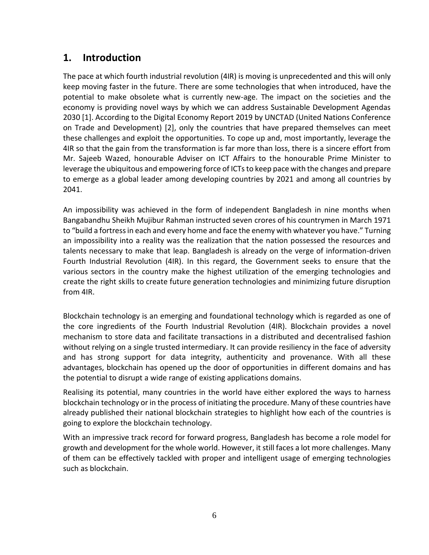## <span id="page-5-0"></span>**1. Introduction**

The pace at which fourth industrial revolution (4IR) is moving is unprecedented and this will only keep moving faster in the future. There are some technologies that when introduced, have the potential to make obsolete what is currently new-age. The impact on the societies and the economy is providing novel ways by which we can address Sustainable Development Agendas 2030 [1]. According to the Digital Economy Report 2019 by UNCTAD (United Nations Conference on Trade and Development) [2], only the countries that have prepared themselves can meet these challenges and exploit the opportunities. To cope up and, most importantly, leverage the 4IR so that the gain from the transformation is far more than loss, there is a sincere effort from Mr. Sajeeb Wazed, honourable Adviser on ICT Affairs to the honourable Prime Minister to leverage the ubiquitous and empowering force of ICTs to keep pace with the changes and prepare to emerge as a global leader among developing countries by 2021 and among all countries by 2041.

An impossibility was achieved in the form of independent Bangladesh in nine months when Bangabandhu Sheikh Mujibur Rahman instructed seven crores of his countrymen in March 1971 to "build a fortress in each and every home and face the enemy with whatever you have." Turning an impossibility into a reality was the realization that the nation possessed the resources and talents necessary to make that leap. Bangladesh is already on the verge of information-driven Fourth Industrial Revolution (4IR). In this regard, the Government seeks to ensure that the various sectors in the country make the highest utilization of the emerging technologies and create the right skills to create future generation technologies and minimizing future disruption from 4IR.

Blockchain technology is an emerging and foundational technology which is regarded as one of the core ingredients of the Fourth Industrial Revolution (4IR). Blockchain provides a novel mechanism to store data and facilitate transactions in a distributed and decentralised fashion without relying on a single trusted intermediary. It can provide resiliency in the face of adversity and has strong support for data integrity, authenticity and provenance. With all these advantages, blockchain has opened up the door of opportunities in different domains and has the potential to disrupt a wide range of existing applications domains.

Realising its potential, many countries in the world have either explored the ways to harness blockchain technology or in the process of initiating the procedure. Many of these countries have already published their national blockchain strategies to highlight how each of the countries is going to explore the blockchain technology.

With an impressive track record for forward progress, Bangladesh has become a role model for growth and development for the whole world. However, it still faces a lot more challenges. Many of them can be effectively tackled with proper and intelligent usage of emerging technologies such as blockchain.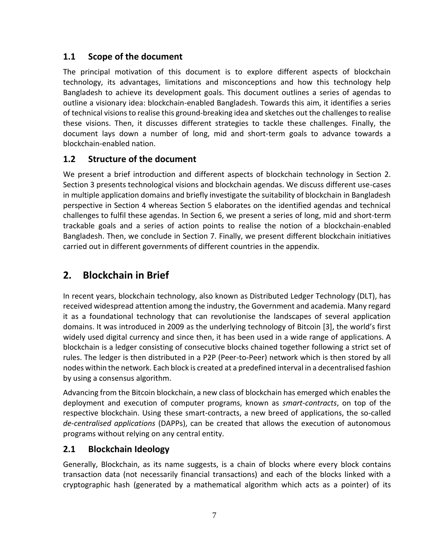## <span id="page-6-0"></span>**1.1 Scope of the document**

The principal motivation of this document is to explore different aspects of blockchain technology, its advantages, limitations and misconceptions and how this technology help Bangladesh to achieve its development goals. This document outlines a series of agendas to outline a visionary idea: blockchain-enabled Bangladesh. Towards this aim, it identifies a series of technical visions to realise this ground-breaking idea and sketches out the challenges to realise these visions. Then, it discusses different strategies to tackle these challenges. Finally, the document lays down a number of long, mid and short-term goals to advance towards a blockchain-enabled nation.

## <span id="page-6-1"></span>**1.2 Structure of the document**

We present a brief introduction and different aspects of blockchain technology in Section 2. Section 3 presents technological visions and blockchain agendas. We discuss different use-cases in multiple application domains and briefly investigate the suitability of blockchain in Bangladesh perspective in Section 4 whereas Section 5 elaborates on the identified agendas and technical challenges to fulfil these agendas. In Section 6, we present a series of long, mid and short-term trackable goals and a series of action points to realise the notion of a blockchain-enabled Bangladesh. Then, we conclude in Section 7. Finally, we present different blockchain initiatives carried out in different governments of different countries in the appendix.

# <span id="page-6-2"></span>**2. Blockchain in Brief**

In recent years, blockchain technology, also known as Distributed Ledger Technology (DLT), has received widespread attention among the industry, the Government and academia. Many regard it as a foundational technology that can revolutionise the landscapes of several application domains. It was introduced in 2009 as the underlying technology of Bitcoin [3], the world's first widely used digital currency and since then, it has been used in a wide range of applications. A blockchain is a ledger consisting of consecutive blocks chained together following a strict set of rules. The ledger is then distributed in a P2P (Peer-to-Peer) network which is then stored by all nodes within the network. Each block is created at a predefined interval in a decentralised fashion by using a consensus algorithm.

Advancing from the Bitcoin blockchain, a new class of blockchain has emerged which enables the deployment and execution of computer programs, known as *smart-contracts*, on top of the respective blockchain. Using these smart-contracts, a new breed of applications, the so-called *de-centralised applications* (DAPPs), can be created that allows the execution of autonomous programs without relying on any central entity.

## <span id="page-6-3"></span>**2.1 Blockchain Ideology**

Generally, Blockchain, as its name suggests, is a chain of blocks where every block contains transaction data (not necessarily financial transactions) and each of the blocks linked with a cryptographic hash (generated by a mathematical algorithm which acts as a pointer) of its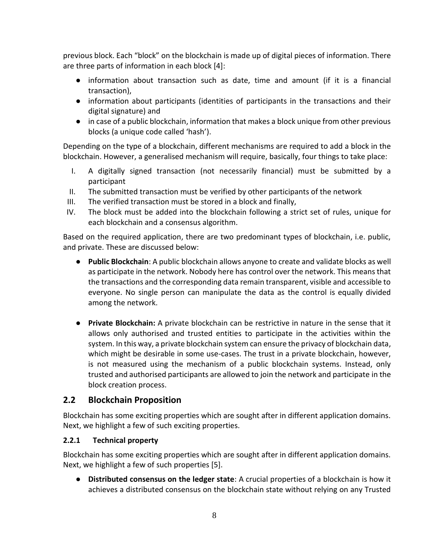previous block. Each "block" on the blockchain is made up of digital pieces of information. There are three parts of information in each block [4]:

- information about transaction such as date, time and amount (if it is a financial transaction),
- information about participants (identities of participants in the transactions and their digital signature) and
- in case of a public blockchain, information that makes a block unique from other previous blocks (a unique code called 'hash').

Depending on the type of a blockchain, different mechanisms are required to add a block in the blockchain. However, a generalised mechanism will require, basically, four things to take place:

- I. A digitally signed transaction (not necessarily financial) must be submitted by a participant
- II. The submitted transaction must be verified by other participants of the network
- III. The verified transaction must be stored in a block and finally,
- IV. The block must be added into the blockchain following a strict set of rules, unique for each blockchain and a consensus algorithm.

Based on the required application, there are two predominant types of blockchain, i.e. public, and private. These are discussed below:

- **Public Blockchain**: A public blockchain allows anyone to create and validate blocks as well as participate in the network. Nobody here has control over the network. This means that the transactions and the corresponding data remain transparent, visible and accessible to everyone. No single person can manipulate the data as the control is equally divided among the network.
- **Private Blockchain:** A private blockchain can be restrictive in nature in the sense that it allows only authorised and trusted entities to participate in the activities within the system. In this way, a private blockchain system can ensure the privacy of blockchain data, which might be desirable in some use-cases. The trust in a private blockchain, however, is not measured using the mechanism of a public blockchain systems. Instead, only trusted and authorised participants are allowed to join the network and participate in the block creation process.

## <span id="page-7-0"></span>**2.2 Blockchain Proposition**

Blockchain has some exciting properties which are sought after in different application domains. Next, we highlight a few of such exciting properties.

#### <span id="page-7-1"></span>**2.2.1 Technical property**

Blockchain has some exciting properties which are sought after in different application domains. Next, we highlight a few of such properties [5].

● **Distributed consensus on the ledger state**: A crucial properties of a blockchain is how it achieves a distributed consensus on the blockchain state without relying on any Trusted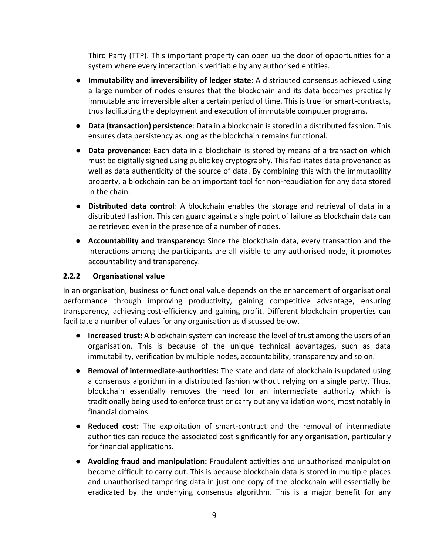Third Party (TTP). This important property can open up the door of opportunities for a system where every interaction is verifiable by any authorised entities.

- **Immutability and irreversibility of ledger state**: A distributed consensus achieved using a large number of nodes ensures that the blockchain and its data becomes practically immutable and irreversible after a certain period of time. This is true for smart-contracts, thus facilitating the deployment and execution of immutable computer programs.
- **Data (transaction) persistence**: Data in a blockchain is stored in a distributed fashion. This ensures data persistency as long as the blockchain remains functional.
- **Data provenance**: Each data in a blockchain is stored by means of a transaction which must be digitally signed using public key cryptography. This facilitates data provenance as well as data authenticity of the source of data. By combining this with the immutability property, a blockchain can be an important tool for non-repudiation for any data stored in the chain.
- **Distributed data control**: A blockchain enables the storage and retrieval of data in a distributed fashion. This can guard against a single point of failure as blockchain data can be retrieved even in the presence of a number of nodes.
- **Accountability and transparency:** Since the blockchain data, every transaction and the interactions among the participants are all visible to any authorised node, it promotes accountability and transparency.

#### <span id="page-8-0"></span>**2.2.2 Organisational value**

In an organisation, business or functional value depends on the enhancement of organisational performance through improving productivity, gaining competitive advantage, ensuring transparency, achieving cost-efficiency and gaining profit. Different blockchain properties can facilitate a number of values for any organisation as discussed below.

- **Increased trust:** A blockchain system can increase the level of trust among the users of an organisation. This is because of the unique technical advantages, such as data immutability, verification by multiple nodes, accountability, transparency and so on.
- **Removal of intermediate-authorities:** The state and data of blockchain is updated using a consensus algorithm in a distributed fashion without relying on a single party. Thus, blockchain essentially removes the need for an intermediate authority which is traditionally being used to enforce trust or carry out any validation work, most notably in financial domains.
- **Reduced cost:** The exploitation of smart-contract and the removal of intermediate authorities can reduce the associated cost significantly for any organisation, particularly for financial applications.
- **Avoiding fraud and manipulation:** Fraudulent activities and unauthorised manipulation become difficult to carry out. This is because blockchain data is stored in multiple places and unauthorised tampering data in just one copy of the blockchain will essentially be eradicated by the underlying consensus algorithm. This is a major benefit for any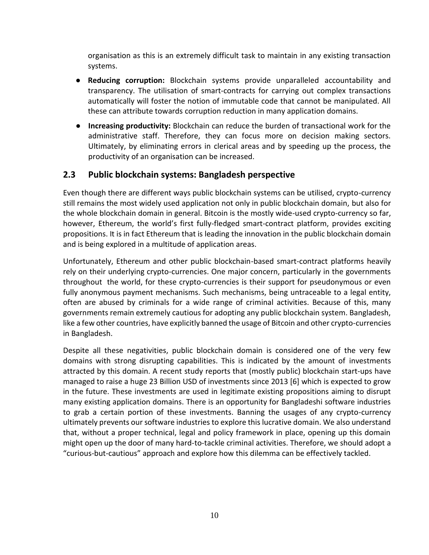organisation as this is an extremely difficult task to maintain in any existing transaction systems.

- **Reducing corruption:** Blockchain systems provide unparalleled accountability and transparency. The utilisation of smart-contracts for carrying out complex transactions automatically will foster the notion of immutable code that cannot be manipulated. All these can attribute towards corruption reduction in many application domains.
- **Increasing productivity:** Blockchain can reduce the burden of transactional work for the administrative staff. Therefore, they can focus more on decision making sectors. Ultimately, by eliminating errors in clerical areas and by speeding up the process, the productivity of an organisation can be increased.

## <span id="page-9-0"></span>**2.3 Public blockchain systems: Bangladesh perspective**

Even though there are different ways public blockchain systems can be utilised, crypto-currency still remains the most widely used application not only in public blockchain domain, but also for the whole blockchain domain in general. Bitcoin is the mostly wide-used crypto-currency so far, however, Ethereum, the world's first fully-fledged smart-contract platform, provides exciting propositions. It is in fact Ethereum that is leading the innovation in the public blockchain domain and is being explored in a multitude of application areas.

Unfortunately, Ethereum and other public blockchain-based smart-contract platforms heavily rely on their underlying crypto-currencies. One major concern, particularly in the governments throughout the world, for these crypto-currencies is their support for pseudonymous or even fully anonymous payment mechanisms. Such mechanisms, being untraceable to a legal entity, often are abused by criminals for a wide range of criminal activities. Because of this, many governments remain extremely cautious for adopting any public blockchain system. Bangladesh, like a few other countries, have explicitly banned the usage of Bitcoin and other crypto-currencies in Bangladesh.

Despite all these negativities, public blockchain domain is considered one of the very few domains with strong disrupting capabilities. This is indicated by the amount of investments attracted by this domain. A recent study reports that (mostly public) blockchain start-ups have managed to raise a huge 23 Billion USD of investments since 2013 [6] which is expected to grow in the future. These investments are used in legitimate existing propositions aiming to disrupt many existing application domains. There is an opportunity for Bangladeshi software industries to grab a certain portion of these investments. Banning the usages of any crypto-currency ultimately prevents our software industries to explore this lucrative domain. We also understand that, without a proper technical, legal and policy framework in place, opening up this domain might open up the door of many hard-to-tackle criminal activities. Therefore, we should adopt a "curious-but-cautious" approach and explore how this dilemma can be effectively tackled.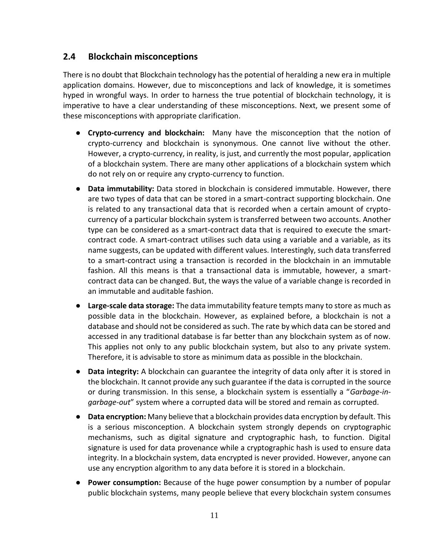## <span id="page-10-0"></span>**2.4 Blockchain misconceptions**

There is no doubt that Blockchain technology has the potential of heralding a new era in multiple application domains. However, due to misconceptions and lack of knowledge, it is sometimes hyped in wrongful ways. In order to harness the true potential of blockchain technology, it is imperative to have a clear understanding of these misconceptions. Next, we present some of these misconceptions with appropriate clarification.

- **Crypto-currency and blockchain:** Many have the misconception that the notion of crypto-currency and blockchain is synonymous. One cannot live without the other. However, a crypto-currency, in reality, is just, and currently the most popular, application of a blockchain system. There are many other applications of a blockchain system which do not rely on or require any crypto-currency to function.
- **Data immutability:** Data stored in blockchain is considered immutable. However, there are two types of data that can be stored in a smart-contract supporting blockchain. One is related to any transactional data that is recorded when a certain amount of cryptocurrency of a particular blockchain system is transferred between two accounts. Another type can be considered as a smart-contract data that is required to execute the smartcontract code. A smart-contract utilises such data using a variable and a variable, as its name suggests, can be updated with different values. Interestingly, such data transferred to a smart-contract using a transaction is recorded in the blockchain in an immutable fashion. All this means is that a transactional data is immutable, however, a smartcontract data can be changed. But, the ways the value of a variable change is recorded in an immutable and auditable fashion.
- **Large-scale data storage:** The data immutability feature tempts many to store as much as possible data in the blockchain. However, as explained before, a blockchain is not a database and should not be considered as such. The rate by which data can be stored and accessed in any traditional database is far better than any blockchain system as of now. This applies not only to any public blockchain system, but also to any private system. Therefore, it is advisable to store as minimum data as possible in the blockchain.
- **Data integrity:** A blockchain can guarantee the integrity of data only after it is stored in the blockchain. It cannot provide any such guarantee if the data is corrupted in the source or during transmission. In this sense, a blockchain system is essentially a "*Garbage-ingarbage-out*" system where a corrupted data will be stored and remain as corrupted.
- **Data encryption:** Many believe that a blockchain provides data encryption by default. This is a serious misconception. A blockchain system strongly depends on cryptographic mechanisms, such as digital signature and cryptographic hash, to function. Digital signature is used for data provenance while a cryptographic hash is used to ensure data integrity. In a blockchain system, data encrypted is never provided. However, anyone can use any encryption algorithm to any data before it is stored in a blockchain.
- **Power consumption:** Because of the huge power consumption by a number of popular public blockchain systems, many people believe that every blockchain system consumes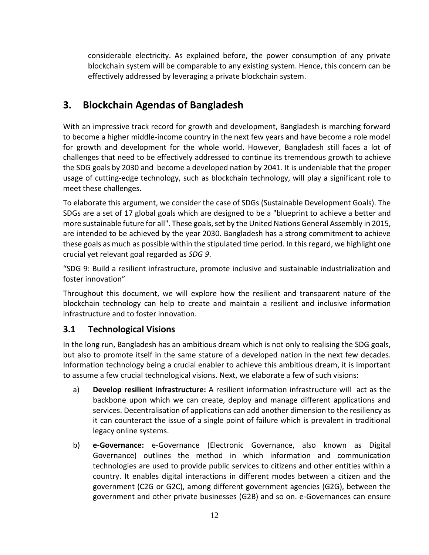considerable electricity. As explained before, the power consumption of any private blockchain system will be comparable to any existing system. Hence, this concern can be effectively addressed by leveraging a private blockchain system.

# <span id="page-11-0"></span>**3. Blockchain Agendas of Bangladesh**

With an impressive track record for growth and development, Bangladesh is marching forward to become a higher middle-income country in the next few years and have become a role model for growth and development for the whole world. However, Bangladesh still faces a lot of challenges that need to be effectively addressed to continue its tremendous growth to achieve the SDG goals by 2030 and become a developed nation by 2041. It is undeniable that the proper usage of cutting-edge technology, such as blockchain technology, will play a significant role to meet these challenges.

To elaborate this argument, we consider the case of SDGs (Sustainable Development Goals). The SDGs are a set of 17 global goals which are designed to be a "blueprint to achieve a better and more sustainable future for all". These goals, set by the United Nations General Assembly in 2015, are intended to be achieved by the year 2030. Bangladesh has a strong commitment to achieve these goals as much as possible within the stipulated time period. In this regard, we highlight one crucial yet relevant goal regarded as *SDG 9*.

"SDG 9: Build a resilient infrastructure, promote inclusive and sustainable industrialization and foster innovation"

Throughout this document, we will explore how the resilient and transparent nature of the blockchain technology can help to create and maintain a resilient and inclusive information infrastructure and to foster innovation.

## <span id="page-11-1"></span>**3.1 Technological Visions**

In the long run, Bangladesh has an ambitious dream which is not only to realising the SDG goals, but also to promote itself in the same stature of a developed nation in the next few decades. Information technology being a crucial enabler to achieve this ambitious dream, it is important to assume a few crucial technological visions. Next, we elaborate a few of such visions:

- a) **Develop resilient infrastructure:** A resilient information infrastructure will act as the backbone upon which we can create, deploy and manage different applications and services. Decentralisation of applications can add another dimension to the resiliency as it can counteract the issue of a single point of failure which is prevalent in traditional legacy online systems.
- b) **e-Governance:** e-Governance (Electronic Governance, also known as Digital Governance) outlines the method in which information and communication technologies are used to provide public services to citizens and other entities within a country. It enables digital interactions in different modes between a citizen and the government (C2G or G2C), among different government agencies (G2G), between the government and other private businesses (G2B) and so on. e-Governances can ensure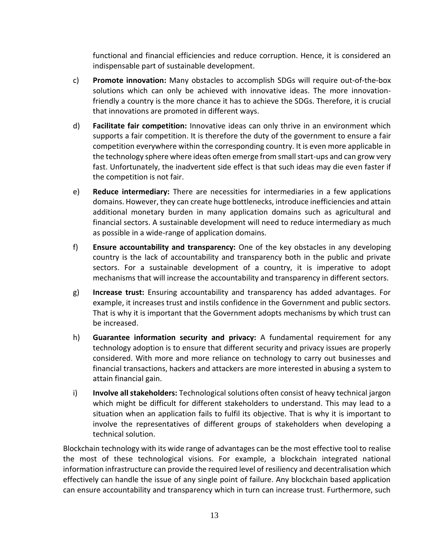functional and financial efficiencies and reduce corruption. Hence, it is considered an indispensable part of sustainable development.

- c) **Promote innovation:** Many obstacles to accomplish SDGs will require out-of-the-box solutions which can only be achieved with innovative ideas. The more innovationfriendly a country is the more chance it has to achieve the SDGs. Therefore, it is crucial that innovations are promoted in different ways.
- d) **Facilitate fair competition:** Innovative ideas can only thrive in an environment which supports a fair competition. It is therefore the duty of the government to ensure a fair competition everywhere within the corresponding country. It is even more applicable in the technology sphere where ideas often emerge from small start-ups and can grow very fast. Unfortunately, the inadvertent side effect is that such ideas may die even faster if the competition is not fair.
- e) **Reduce intermediary:** There are necessities for intermediaries in a few applications domains. However, they can create huge bottlenecks, introduce inefficiencies and attain additional monetary burden in many application domains such as agricultural and financial sectors. A sustainable development will need to reduce intermediary as much as possible in a wide-range of application domains.
- f) **Ensure accountability and transparency:** One of the key obstacles in any developing country is the lack of accountability and transparency both in the public and private sectors. For a sustainable development of a country, it is imperative to adopt mechanisms that will increase the accountability and transparency in different sectors.
- g) **Increase trust:** Ensuring accountability and transparency has added advantages. For example, it increases trust and instils confidence in the Government and public sectors. That is why it is important that the Government adopts mechanisms by which trust can be increased.
- h) **Guarantee information security and privacy:** A fundamental requirement for any technology adoption is to ensure that different security and privacy issues are properly considered. With more and more reliance on technology to carry out businesses and financial transactions, hackers and attackers are more interested in abusing a system to attain financial gain.
- i) **Involve all stakeholders:** Technological solutions often consist of heavy technical jargon which might be difficult for different stakeholders to understand. This may lead to a situation when an application fails to fulfil its objective. That is why it is important to involve the representatives of different groups of stakeholders when developing a technical solution.

Blockchain technology with its wide range of advantages can be the most effective tool to realise the most of these technological visions. For example, a blockchain integrated national information infrastructure can provide the required level of resiliency and decentralisation which effectively can handle the issue of any single point of failure. Any blockchain based application can ensure accountability and transparency which in turn can increase trust. Furthermore, such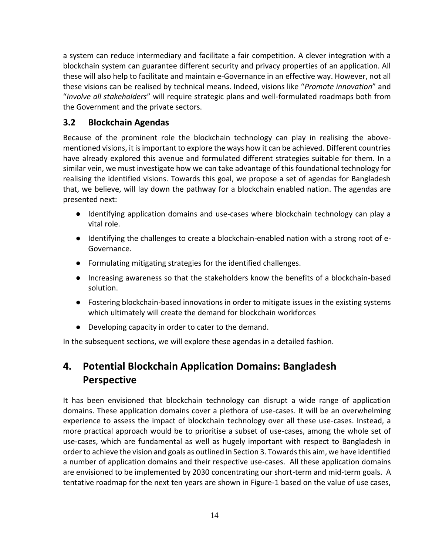a system can reduce intermediary and facilitate a fair competition. A clever integration with a blockchain system can guarantee different security and privacy properties of an application. All these will also help to facilitate and maintain e-Governance in an effective way. However, not all these visions can be realised by technical means. Indeed, visions like "*Promote innovation*" and "*Involve all stakeholders*" will require strategic plans and well-formulated roadmaps both from the Government and the private sectors.

## <span id="page-13-0"></span>**3.2 Blockchain Agendas**

Because of the prominent role the blockchain technology can play in realising the abovementioned visions, it is important to explore the ways how it can be achieved. Different countries have already explored this avenue and formulated different strategies suitable for them. In a similar vein, we must investigate how we can take advantage of this foundational technology for realising the identified visions. Towards this goal, we propose a set of agendas for Bangladesh that, we believe, will lay down the pathway for a blockchain enabled nation. The agendas are presented next:

- Identifying application domains and use-cases where blockchain technology can play a vital role.
- Identifying the challenges to create a blockchain-enabled nation with a strong root of e-Governance.
- Formulating mitigating strategies for the identified challenges.
- Increasing awareness so that the stakeholders know the benefits of a blockchain-based solution.
- Fostering blockchain-based innovations in order to mitigate issues in the existing systems which ultimately will create the demand for blockchain workforces
- Developing capacity in order to cater to the demand.

In the subsequent sections, we will explore these agendas in a detailed fashion.

# <span id="page-13-1"></span>**4. Potential Blockchain Application Domains: Bangladesh Perspective**

It has been envisioned that blockchain technology can disrupt a wide range of application domains. These application domains cover a plethora of use-cases. It will be an overwhelming experience to assess the impact of blockchain technology over all these use-cases. Instead, a more practical approach would be to prioritise a subset of use-cases, among the whole set of use-cases, which are fundamental as well as hugely important with respect to Bangladesh in order to achieve the vision and goals as outlined in Section 3. Towards this aim, we have identified a number of application domains and their respective use-cases. All these application domains are envisioned to be implemented by 2030 concentrating our short-term and mid-term goals. A tentative roadmap for the next ten years are shown in Figure-1 based on the value of use cases,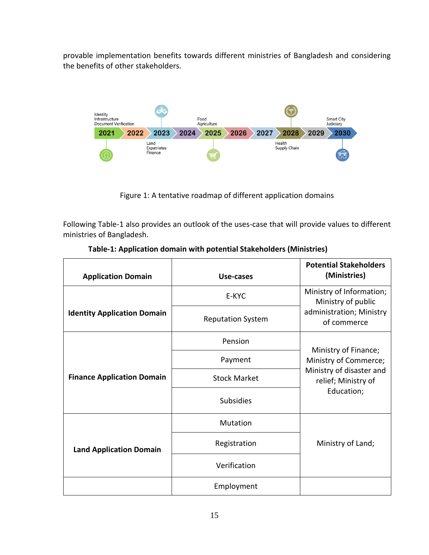provable implementation benefits towards different ministries of Bangladesh and considering the benefits of other stakeholders.



Figure 1: A tentative roadmap of different application domains

Following Table-1 also provides an outlook of the uses-case that will provide values to different ministries of Bangladesh.

| <b>Application Domain</b>          | Use-cases                | <b>Potential Stakeholders</b><br>(Ministries)   |
|------------------------------------|--------------------------|-------------------------------------------------|
|                                    | E-KYC                    | Ministry of Information;<br>Ministry of public  |
| <b>Identity Application Domain</b> | <b>Reputation System</b> | administration; Ministry<br>of commerce         |
|                                    | Pension                  | Ministry of Finance;                            |
|                                    | Payment                  | Ministry of Commerce;                           |
| <b>Finance Application Domain</b>  | <b>Stock Market</b>      | Ministry of disaster and<br>relief; Ministry of |
|                                    | <b>Subsidies</b>         | Education;                                      |
|                                    | Mutation                 |                                                 |
| <b>Land Application Domain</b>     | Registration             | Ministry of Land;                               |
|                                    | Verification             |                                                 |
|                                    | Employment               |                                                 |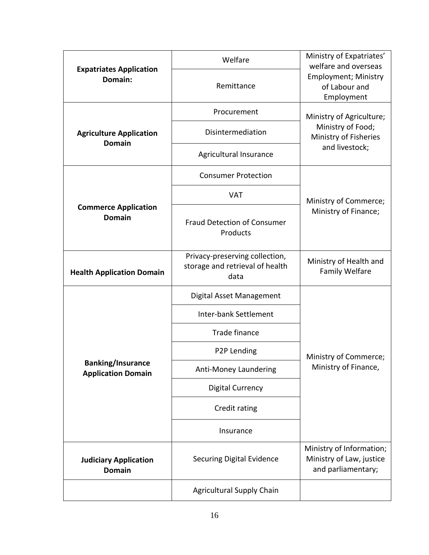|                                                                                                               | Welfare                                        | Ministry of Expatriates'<br>welfare and overseas           |  |
|---------------------------------------------------------------------------------------------------------------|------------------------------------------------|------------------------------------------------------------|--|
| <b>Expatriates Application</b><br>Domain:                                                                     | Remittance                                     | <b>Employment; Ministry</b><br>of Labour and<br>Employment |  |
|                                                                                                               | Procurement                                    | Ministry of Agriculture;                                   |  |
| <b>Agriculture Application</b><br><b>Domain</b>                                                               | Disintermediation                              | Ministry of Food;<br>Ministry of Fisheries                 |  |
|                                                                                                               | Agricultural Insurance                         | and livestock;                                             |  |
|                                                                                                               | <b>Consumer Protection</b>                     |                                                            |  |
|                                                                                                               | <b>VAT</b>                                     | Ministry of Commerce;                                      |  |
| <b>Commerce Application</b><br><b>Domain</b>                                                                  | <b>Fraud Detection of Consumer</b><br>Products | Ministry of Finance;                                       |  |
| Privacy-preserving collection,<br>storage and retrieval of health<br><b>Health Application Domain</b><br>data |                                                | Ministry of Health and<br><b>Family Welfare</b>            |  |
|                                                                                                               | Digital Asset Management                       |                                                            |  |
|                                                                                                               | Inter-bank Settlement                          |                                                            |  |
|                                                                                                               | Trade finance                                  |                                                            |  |
|                                                                                                               | P2P Lending                                    | Ministry of Commerce;                                      |  |
| <b>Banking/Insurance</b><br><b>Application Domain</b>                                                         | Anti-Money Laundering                          | Ministry of Finance,                                       |  |
|                                                                                                               | <b>Digital Currency</b>                        |                                                            |  |
|                                                                                                               | Credit rating                                  |                                                            |  |
|                                                                                                               | Insurance                                      |                                                            |  |
| <b>Judiciary Application</b><br><b>Domain</b>                                                                 | <b>Securing Digital Evidence</b>               |                                                            |  |
|                                                                                                               | <b>Agricultural Supply Chain</b>               |                                                            |  |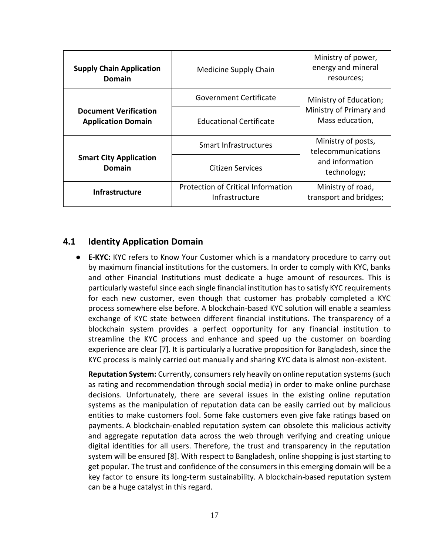| <b>Supply Chain Application</b><br>Domain                                            | Medicine Supply Chain        | Ministry of power,<br>energy and mineral<br>resources;                     |  |
|--------------------------------------------------------------------------------------|------------------------------|----------------------------------------------------------------------------|--|
|                                                                                      | Government Certificate       | Ministry of Education;                                                     |  |
| <b>Document Verification</b><br><b>Application Domain</b>                            | Educational Certificate      | Ministry of Primary and<br>Mass education,                                 |  |
|                                                                                      | <b>Smart Infrastructures</b> | Ministry of posts,<br>telecommunications<br>and information<br>technology; |  |
| <b>Smart City Application</b><br>Domain                                              | Citizen Services             |                                                                            |  |
| <b>Protection of Critical Information</b><br><b>Infrastructure</b><br>Infrastructure |                              | Ministry of road,<br>transport and bridges;                                |  |

#### <span id="page-16-0"></span>**4.1 Identity Application Domain**

● **E-KYC:** KYC refers to Know Your Customer which is a mandatory procedure to carry out by maximum financial institutions for the customers. In order to comply with KYC, banks and other Financial Institutions must dedicate a huge amount of resources. This is particularly wasteful since each single financial institution has to satisfy KYC requirements for each new customer, even though that customer has probably completed a KYC process somewhere else before. A blockchain-based KYC solution will enable a seamless exchange of KYC state between different financial institutions. The transparency of a blockchain system provides a perfect opportunity for any financial institution to streamline the KYC process and enhance and speed up the customer on boarding experience are clear [7]. It is particularly a lucrative proposition for Bangladesh, since the KYC process is mainly carried out manually and sharing KYC data is almost non-existent.

**Reputation System:** Currently, consumers rely heavily on online reputation systems (such as rating and recommendation through social media) in order to make online purchase decisions. Unfortunately, there are several issues in the existing online reputation systems as the manipulation of reputation data can be easily carried out by malicious entities to make customers fool. Some fake customers even give fake ratings based on payments. A blockchain-enabled reputation system can obsolete this malicious activity and aggregate reputation data across the web through verifying and creating unique digital identities for all users. Therefore, the trust and transparency in the reputation system will be ensured [8]. With respect to Bangladesh, online shopping is just starting to get popular. The trust and confidence of the consumers in this emerging domain will be a key factor to ensure its long-term sustainability. A blockchain-based reputation system can be a huge catalyst in this regard.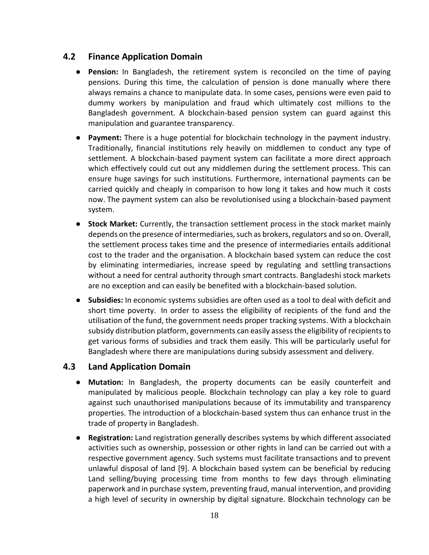### <span id="page-17-0"></span>**4.2 Finance Application Domain**

- **Pension:** In Bangladesh, the retirement system is reconciled on the time of paying pensions. During this time, the calculation of pension is done manually where there always remains a chance to manipulate data. In some cases, pensions were even paid to dummy workers by manipulation and fraud which ultimately cost millions to the Bangladesh government. A blockchain-based pension system can guard against this manipulation and guarantee transparency.
- **Payment:** There is a huge potential for blockchain technology in the payment industry. Traditionally, financial institutions rely heavily on middlemen to conduct any type of settlement. A blockchain-based payment system can facilitate a more direct approach which effectively could cut out any middlemen during the settlement process. This can ensure huge savings for such institutions. Furthermore, international payments can be carried quickly and cheaply in comparison to how long it takes and how much it costs now. The payment system can also be revolutionised using a blockchain-based payment system.
- **Stock Market:** Currently, the transaction settlement process in the stock market mainly depends on the presence of intermediaries, such as brokers, regulators and so on. Overall, the settlement process takes time and the presence of intermediaries entails additional cost to the trader and the organisation. A blockchain based system can reduce the cost by eliminating intermediaries, increase speed by regulating and settling transactions without a need for central authority through smart contracts. Bangladeshi stock markets are no exception and can easily be benefited with a blockchain-based solution.
- **Subsidies:** In economic systems subsidies are often used as a tool to deal with deficit and short time poverty. In order to assess the eligibility of recipients of the fund and the utilisation of the fund, the government needs proper tracking systems. With a blockchain subsidy distribution platform, governments can easily assess the eligibility of recipients to get various forms of subsidies and track them easily. This will be particularly useful for Bangladesh where there are manipulations during subsidy assessment and delivery.

#### <span id="page-17-1"></span>**4.3 Land Application Domain**

- **Mutation:** In Bangladesh, the property documents can be easily counterfeit and manipulated by malicious people. Blockchain technology can play a key role to guard against such unauthorised manipulations because of its immutability and transparency properties. The introduction of a blockchain-based system thus can enhance trust in the trade of property in Bangladesh.
- **Registration:** Land registration generally describes systems by which different associated activities such as ownership, possession or other rights in land can be carried out with a respective government agency. Such systems must facilitate transactions and to prevent unlawful disposal of land [9]. A blockchain based system can be beneficial by reducing Land selling/buying processing time from months to few days through eliminating paperwork and in purchase system, preventing fraud, manual intervention, and providing a high level of security in ownership by digital signature. Blockchain technology can be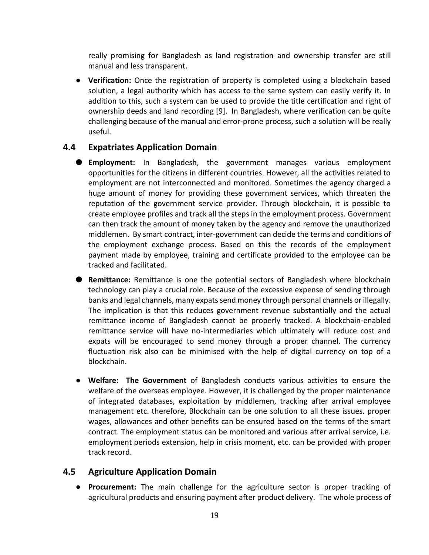really promising for Bangladesh as land registration and ownership transfer are still manual and less transparent.

● **Verification:** Once the registration of property is completed using a blockchain based solution, a legal authority which has access to the same system can easily verify it. In addition to this, such a system can be used to provide the title certification and right of ownership deeds and land recording [9]. In Bangladesh, where verification can be quite challenging because of the manual and error-prone process, such a solution will be really useful.

#### <span id="page-18-0"></span>**4.4 Expatriates Application Domain**

- **Employment:** In Bangladesh, the government manages various employment opportunities for the citizens in different countries. However, all the activities related to employment are not interconnected and monitored. Sometimes the agency charged a huge amount of money for providing these government services, which threaten the reputation of the government service provider. Through blockchain, it is possible to create employee profiles and track all the steps in the employment process. Government can then track the amount of money taken by the agency and remove the unauthorized middlemen. By smart contract, inter-government can decide the terms and conditions of the employment exchange process. Based on this the records of the employment payment made by employee, training and certificate provided to the employee can be tracked and facilitated.
- **Remittance:** Remittance is one the potential sectors of Bangladesh where blockchain technology can play a crucial role. Because of the excessive expense of sending through banks and legal channels, many expats send money through personal channels or illegally. The implication is that this reduces government revenue substantially and the actual remittance income of Bangladesh cannot be properly tracked. A blockchain-enabled remittance service will have no-intermediaries which ultimately will reduce cost and expats will be encouraged to send money through a proper channel. The currency fluctuation risk also can be minimised with the help of digital currency on top of a blockchain.
- **Welfare: The Government** of Bangladesh conducts various activities to ensure the welfare of the overseas employee. However, it is challenged by the proper maintenance of integrated databases, exploitation by middlemen, tracking after arrival employee management etc. therefore, Blockchain can be one solution to all these issues. proper wages, allowances and other benefits can be ensured based on the terms of the smart contract. The employment status can be monitored and various after arrival service, i.e. employment periods extension, help in crisis moment, etc. can be provided with proper track record.

#### <span id="page-18-1"></span>**4.5 Agriculture Application Domain**

● **Procurement:** The main challenge for the agriculture sector is proper tracking of agricultural products and ensuring payment after product delivery. The whole process of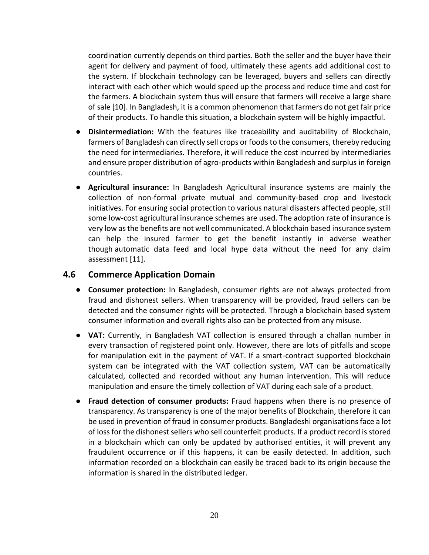coordination currently depends on third parties. Both the seller and the buyer have their agent for delivery and payment of food, ultimately these agents add additional cost to the system. If blockchain technology can be leveraged, buyers and sellers can directly interact with each other which would speed up the process and reduce time and cost for the farmers. A blockchain system thus will ensure that farmers will receive a large share of sale [10]. In Bangladesh, it is a common phenomenon that farmers do not get fair price of their products. To handle this situation, a blockchain system will be highly impactful.

- **Disintermediation:** With the features like traceability and auditability of Blockchain, farmers of Bangladesh can directly sell crops or foods to the consumers, thereby reducing the need for intermediaries. Therefore, it will reduce the cost incurred by intermediaries and ensure proper distribution of agro-products within Bangladesh and surplus in foreign countries.
- **Agricultural insurance:** In Bangladesh Agricultural insurance systems are mainly the collection of non-formal private mutual and community-based crop and livestock initiatives. For ensuring social protection to various natural disasters affected people, still some low-cost agricultural insurance schemes are used. The adoption rate of insurance is very low as the benefits are not well communicated. A blockchain based insurance system can help the insured farmer to get the benefit instantly in adverse weather though automatic data feed and local hype data without the need for any claim assessment [11].

#### <span id="page-19-0"></span>**4.6 Commerce Application Domain**

- **Consumer protection:** In Bangladesh, consumer rights are not always protected from fraud and dishonest sellers. When transparency will be provided, fraud sellers can be detected and the consumer rights will be protected. Through a blockchain based system consumer information and overall rights also can be protected from any misuse.
- **VAT:** Currently, in Bangladesh VAT collection is ensured through a challan number in every transaction of registered point only. However, there are lots of pitfalls and scope for manipulation exit in the payment of VAT. If a smart-contract supported blockchain system can be integrated with the VAT collection system, VAT can be automatically calculated, collected and recorded without any human intervention. This will reduce manipulation and ensure the timely collection of VAT during each sale of a product.
- **Fraud detection of consumer products:** Fraud happens when there is no presence of transparency. As transparency is one of the major benefits of Blockchain, therefore it can be used in prevention of fraud in consumer products. Bangladeshi organisations face a lot of loss for the dishonest sellers who sell counterfeit products. If a product record is stored in a blockchain which can only be updated by authorised entities, it will prevent any fraudulent occurrence or if this happens, it can be easily detected. In addition, such information recorded on a blockchain can easily be traced back to its origin because the information is shared in the distributed ledger.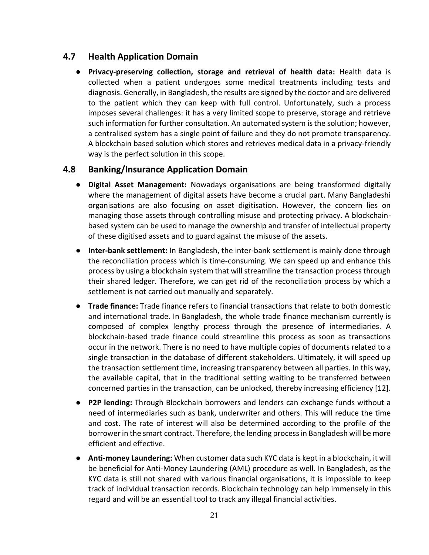## <span id="page-20-0"></span>**4.7 Health Application Domain**

● **Privacy-preserving collection, storage and retrieval of health data:** Health data is collected when a patient undergoes some medical treatments including tests and diagnosis. Generally, in Bangladesh, the results are signed by the doctor and are delivered to the patient which they can keep with full control. Unfortunately, such a process imposes several challenges: it has a very limited scope to preserve, storage and retrieve such information for further consultation. An automated system is the solution; however, a centralised system has a single point of failure and they do not promote transparency. A blockchain based solution which stores and retrieves medical data in a privacy-friendly way is the perfect solution in this scope.

#### <span id="page-20-1"></span>**4.8 Banking/Insurance Application Domain**

- **Digital Asset Management:** Nowadays organisations are being transformed digitally where the management of digital assets have become a crucial part. Many Bangladeshi organisations are also focusing on asset digitisation. However, the concern lies on managing those assets through controlling misuse and protecting privacy. A blockchainbased system can be used to manage the ownership and transfer of intellectual property of these digitised assets and to guard against the misuse of the assets.
- **Inter-bank settlement:** In Bangladesh, the inter-bank settlement is mainly done through the reconciliation process which is time-consuming. We can speed up and enhance this process by using a blockchain system that will streamline the transaction process through their shared ledger. Therefore, we can get rid of the reconciliation process by which a settlement is not carried out manually and separately.
- **Trade finance:** Trade finance refers to financial transactions that relate to both domestic and international trade. In Bangladesh, the whole trade finance mechanism currently is composed of complex lengthy process through the presence of intermediaries. A blockchain-based trade finance could streamline this process as soon as transactions occur in the network. There is no need to have multiple copies of documents related to a single transaction in the database of different stakeholders. Ultimately, it will speed up the transaction settlement time, increasing transparency between all parties. In this way, the available capital, that in the traditional setting waiting to be transferred between concerned parties in the transaction, can be unlocked, thereby increasing efficiency [12].
- **P2P lending:** Through Blockchain borrowers and lenders can exchange funds without a need of intermediaries such as bank, underwriter and others. This will reduce the time and cost. The rate of interest will also be determined according to the profile of the borrower in the smart contract. Therefore, the lending process in Bangladesh will be more efficient and effective.
- **Anti-money Laundering:** When customer data such KYC data is kept in a blockchain, it will be beneficial for Anti-Money Laundering (AML) procedure as well. In Bangladesh, as the KYC data is still not shared with various financial organisations, it is impossible to keep track of individual transaction records. Blockchain technology can help immensely in this regard and will be an essential tool to track any illegal financial activities.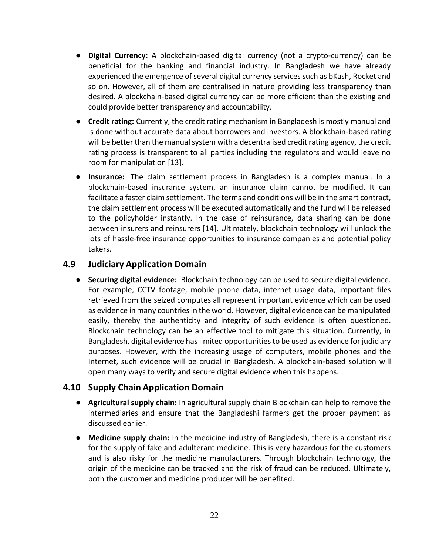- **Digital Currency:** A blockchain-based digital currency (not a crypto-currency) can be beneficial for the banking and financial industry. In Bangladesh we have already experienced the emergence of several digital currency services such as bKash, Rocket and so on. However, all of them are centralised in nature providing less transparency than desired. A blockchain-based digital currency can be more efficient than the existing and could provide better transparency and accountability.
- **Credit rating:** Currently, the credit rating mechanism in Bangladesh is mostly manual and is done without accurate data about borrowers and investors. A blockchain-based rating will be better than the manual system with a decentralised credit rating agency, the credit rating process is transparent to all parties including the regulators and would leave no room for manipulation [13].
- **Insurance:** The claim settlement process in Bangladesh is a complex manual. In a blockchain-based insurance system, an insurance claim cannot be modified. It can facilitate a faster claim settlement. The terms and conditions will be in the smart contract, the claim settlement process will be executed automatically and the fund will be released to the policyholder instantly. In the case of reinsurance, data sharing can be done between insurers and reinsurers [14]. Ultimately, blockchain technology will unlock the lots of hassle-free insurance opportunities to insurance companies and potential policy takers.

#### <span id="page-21-0"></span>**4.9 Judiciary Application Domain**

● **Securing digital evidence:** Blockchain technology can be used to secure digital evidence. For example, CCTV footage, mobile phone data, internet usage data, important files retrieved from the seized computes all represent important evidence which can be used as evidence in many countries in the world. However, digital evidence can be manipulated easily, thereby the authenticity and integrity of such evidence is often questioned. Blockchain technology can be an effective tool to mitigate this situation. Currently, in Bangladesh, digital evidence has limited opportunities to be used as evidence for judiciary purposes. However, with the increasing usage of computers, mobile phones and the Internet, such evidence will be crucial in Bangladesh. A blockchain-based solution will open many ways to verify and secure digital evidence when this happens.

#### <span id="page-21-1"></span>**4.10 Supply Chain Application Domain**

- **Agricultural supply chain:** In agricultural supply chain Blockchain can help to remove the intermediaries and ensure that the Bangladeshi farmers get the proper payment as discussed earlier.
- **Medicine supply chain:** In the medicine industry of Bangladesh, there is a constant risk for the supply of fake and adulterant medicine. This is very hazardous for the customers and is also risky for the medicine manufacturers. Through blockchain technology, the origin of the medicine can be tracked and the risk of fraud can be reduced. Ultimately, both the customer and medicine producer will be benefited.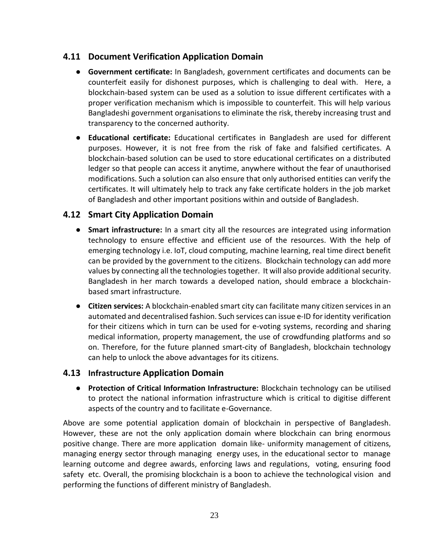## <span id="page-22-0"></span>**4.11 Document Verification Application Domain**

- **Government certificate:** In Bangladesh, government certificates and documents can be counterfeit easily for dishonest purposes, which is challenging to deal with. Here, a blockchain-based system can be used as a solution to issue different certificates with a proper verification mechanism which is impossible to counterfeit. This will help various Bangladeshi government organisations to eliminate the risk, thereby increasing trust and transparency to the concerned authority.
- **Educational certificate:** Educational certificates in Bangladesh are used for different purposes. However, it is not free from the risk of fake and falsified certificates. A blockchain-based solution can be used to store educational certificates on a distributed ledger so that people can access it anytime, anywhere without the fear of unauthorised modifications. Such a solution can also ensure that only authorised entities can verify the certificates. It will ultimately help to track any fake certificate holders in the job market of Bangladesh and other important positions within and outside of Bangladesh.

## <span id="page-22-1"></span>**4.12 Smart City Application Domain**

- **Smart infrastructure:** In a smart city all the resources are integrated using information technology to ensure effective and efficient use of the resources. With the help of emerging technology i.e. IoT, cloud computing, machine learning, real time direct benefit can be provided by the government to the citizens. Blockchain technology can add more values by connecting all the technologies together. It will also provide additional security. Bangladesh in her march towards a developed nation, should embrace a blockchainbased smart infrastructure.
- **Citizen services:** A blockchain-enabled smart city can facilitate many citizen services in an automated and decentralised fashion. Such services can issue e-ID for identity verification for their citizens which in turn can be used for e-voting systems, recording and sharing medical information, property management, the use of crowdfunding platforms and so on. Therefore, for the future planned smart-city of Bangladesh, blockchain technology can help to unlock the above advantages for its citizens.

#### <span id="page-22-2"></span>**4.13 Infrastructure Application Domain**

● **Protection of Critical Information Infrastructure:** Blockchain technology can be utilised to protect the national information infrastructure which is critical to digitise different aspects of the country and to facilitate e-Governance.

Above are some potential application domain of blockchain in perspective of Bangladesh. However, these are not the only application domain where blockchain can bring enormous positive change. There are more application domain like- uniformity management of citizens, managing energy sector through managing energy uses, in the educational sector to manage learning outcome and degree awards, enforcing laws and regulations, voting, ensuring food safety etc. Overall, the promising blockchain is a boon to achieve the technological vision and performing the functions of different ministry of Bangladesh.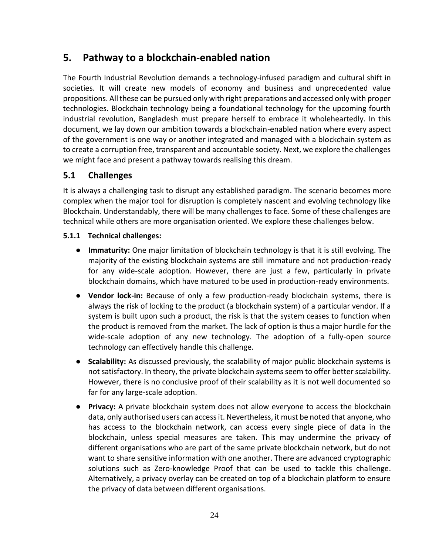## <span id="page-23-0"></span>**5. Pathway to a blockchain-enabled nation**

The Fourth Industrial Revolution demands a technology-infused paradigm and cultural shift in societies. It will create new models of economy and business and unprecedented value propositions. All these can be pursued only with right preparations and accessed only with proper technologies. Blockchain technology being a foundational technology for the upcoming fourth industrial revolution, Bangladesh must prepare herself to embrace it wholeheartedly. In this document, we lay down our ambition towards a blockchain-enabled nation where every aspect of the government is one way or another integrated and managed with a blockchain system as to create a corruption free, transparent and accountable society. Next, we explore the challenges we might face and present a pathway towards realising this dream.

## <span id="page-23-1"></span>**5.1 Challenges**

It is always a challenging task to disrupt any established paradigm. The scenario becomes more complex when the major tool for disruption is completely nascent and evolving technology like Blockchain. Understandably, there will be many challenges to face. Some of these challenges are technical while others are more organisation oriented. We explore these challenges below.

#### <span id="page-23-2"></span>**5.1.1 Technical challenges:**

- **Immaturity:** One major limitation of blockchain technology is that it is still evolving. The majority of the existing blockchain systems are still immature and not production-ready for any wide-scale adoption. However, there are just a few, particularly in private blockchain domains, which have matured to be used in production-ready environments.
- **Vendor lock-in:** Because of only a few production-ready blockchain systems, there is always the risk of locking to the product (a blockchain system) of a particular vendor. If a system is built upon such a product, the risk is that the system ceases to function when the product is removed from the market. The lack of option is thus a major hurdle for the wide-scale adoption of any new technology. The adoption of a fully-open source technology can effectively handle this challenge.
- **Scalability:** As discussed previously, the scalability of major public blockchain systems is not satisfactory. In theory, the private blockchain systems seem to offer better scalability. However, there is no conclusive proof of their scalability as it is not well documented so far for any large-scale adoption.
- **Privacy:** A private blockchain system does not allow everyone to access the blockchain data, only authorised users can access it. Nevertheless, it must be noted that anyone, who has access to the blockchain network, can access every single piece of data in the blockchain, unless special measures are taken. This may undermine the privacy of different organisations who are part of the same private blockchain network, but do not want to share sensitive information with one another. There are advanced cryptographic solutions such as Zero-knowledge Proof that can be used to tackle this challenge. Alternatively, a privacy overlay can be created on top of a blockchain platform to ensure the privacy of data between different organisations.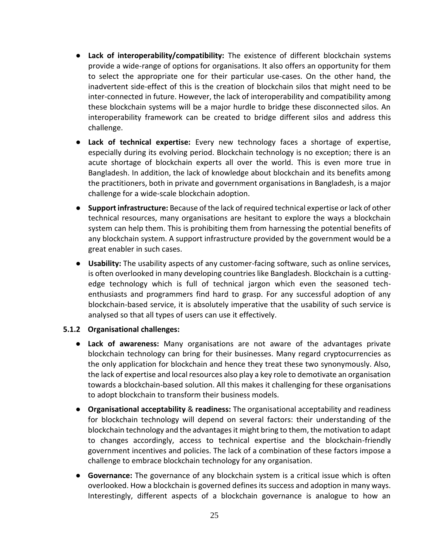- **Lack of interoperability/compatibility:** The existence of different blockchain systems provide a wide-range of options for organisations. It also offers an opportunity for them to select the appropriate one for their particular use-cases. On the other hand, the inadvertent side-effect of this is the creation of blockchain silos that might need to be inter-connected in future. However, the lack of interoperability and compatibility among these blockchain systems will be a major hurdle to bridge these disconnected silos. An interoperability framework can be created to bridge different silos and address this challenge.
- **Lack of technical expertise:** Every new technology faces a shortage of expertise, especially during its evolving period. Blockchain technology is no exception; there is an acute shortage of blockchain experts all over the world. This is even more true in Bangladesh. In addition, the lack of knowledge about blockchain and its benefits among the practitioners, both in private and government organisations in Bangladesh, is a major challenge for a wide-scale blockchain adoption.
- **Support infrastructure:** Because of the lack of required technical expertise or lack of other technical resources, many organisations are hesitant to explore the ways a blockchain system can help them. This is prohibiting them from harnessing the potential benefits of any blockchain system. A support infrastructure provided by the government would be a great enabler in such cases.
- **Usability:** The usability aspects of any customer-facing software, such as online services, is often overlooked in many developing countries like Bangladesh. Blockchain is a cuttingedge technology which is full of technical jargon which even the seasoned techenthusiasts and programmers find hard to grasp. For any successful adoption of any blockchain-based service, it is absolutely imperative that the usability of such service is analysed so that all types of users can use it effectively.

#### <span id="page-24-0"></span>**5.1.2 Organisational challenges:**

- **Lack of awareness:** Many organisations are not aware of the advantages private blockchain technology can bring for their businesses. Many regard cryptocurrencies as the only application for blockchain and hence they treat these two synonymously. Also, the lack of expertise and local resources also play a key role to demotivate an organisation towards a blockchain-based solution. All this makes it challenging for these organisations to adopt blockchain to transform their business models.
- **Organisational acceptability** & **readiness:** The organisational acceptability and readiness for blockchain technology will depend on several factors: their understanding of the blockchain technology and the advantages it might bring to them, the motivation to adapt to changes accordingly, access to technical expertise and the blockchain-friendly government incentives and policies. The lack of a combination of these factors impose a challenge to embrace blockchain technology for any organisation.
- **Governance:** The governance of any blockchain system is a critical issue which is often overlooked. How a blockchain is governed defines its success and adoption in many ways. Interestingly, different aspects of a blockchain governance is analogue to how an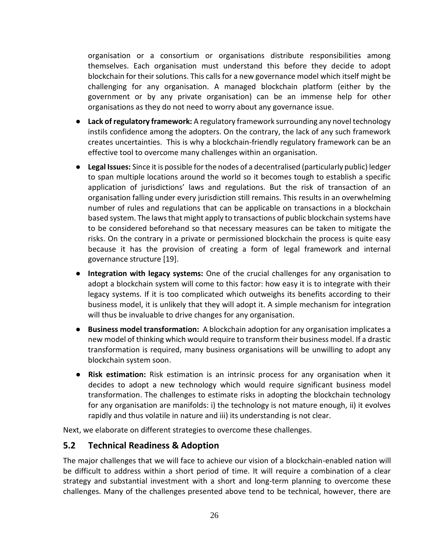organisation or a consortium or organisations distribute responsibilities among themselves. Each organisation must understand this before they decide to adopt blockchain for their solutions. This calls for a new governance model which itself might be challenging for any organisation. A managed blockchain platform (either by the government or by any private organisation) can be an immense help for other organisations as they do not need to worry about any governance issue.

- **Lack of regulatory framework:** A regulatory framework surrounding any novel technology instils confidence among the adopters. On the contrary, the lack of any such framework creates uncertainties. This is why a blockchain-friendly regulatory framework can be an effective tool to overcome many challenges within an organisation.
- **Legal Issues:** Since it is possible for the nodes of a decentralised (particularly public) ledger to span multiple locations around the world so it becomes tough to establish a specific application of jurisdictions' laws and regulations. But the risk of transaction of an organisation falling under every jurisdiction still remains. This results in an overwhelming number of rules and regulations that can be applicable on transactions in a blockchain based system. The laws that might apply to transactions of public blockchain systems have to be considered beforehand so that necessary measures can be taken to mitigate the risks. On the contrary in a private or permissioned blockchain the process is quite easy because it has the provision of creating a form of legal framework and internal governance structure [19].
- **Integration with legacy systems:** One of the crucial challenges for any organisation to adopt a blockchain system will come to this factor: how easy it is to integrate with their legacy systems. If it is too complicated which outweighs its benefits according to their business model, it is unlikely that they will adopt it. A simple mechanism for integration will thus be invaluable to drive changes for any organisation.
- **Business model transformation:** A blockchain adoption for any organisation implicates a new model of thinking which would require to transform their business model. If a drastic transformation is required, many business organisations will be unwilling to adopt any blockchain system soon.
- **Risk estimation:** Risk estimation is an intrinsic process for any organisation when it decides to adopt a new technology which would require significant business model transformation. The challenges to estimate risks in adopting the blockchain technology for any organisation are manifolds: i) the technology is not mature enough, ii) it evolves rapidly and thus volatile in nature and iii) its understanding is not clear.

Next, we elaborate on different strategies to overcome these challenges.

#### <span id="page-25-0"></span>**5.2 Technical Readiness & Adoption**

The major challenges that we will face to achieve our vision of a blockchain-enabled nation will be difficult to address within a short period of time. It will require a combination of a clear strategy and substantial investment with a short and long-term planning to overcome these challenges. Many of the challenges presented above tend to be technical, however, there are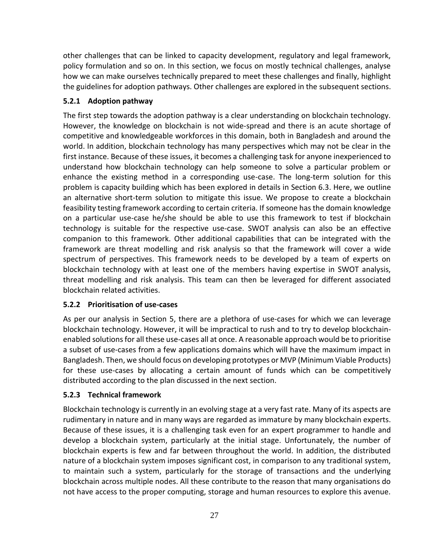other challenges that can be linked to capacity development, regulatory and legal framework, policy formulation and so on. In this section, we focus on mostly technical challenges, analyse how we can make ourselves technically prepared to meet these challenges and finally, highlight the guidelines for adoption pathways. Other challenges are explored in the subsequent sections.

#### <span id="page-26-0"></span>**5.2.1 Adoption pathway**

The first step towards the adoption pathway is a clear understanding on blockchain technology. However, the knowledge on blockchain is not wide-spread and there is an acute shortage of competitive and knowledgeable workforces in this domain, both in Bangladesh and around the world. In addition, blockchain technology has many perspectives which may not be clear in the first instance. Because of these issues, it becomes a challenging task for anyone inexperienced to understand how blockchain technology can help someone to solve a particular problem or enhance the existing method in a corresponding use-case. The long-term solution for this problem is capacity building which has been explored in details in Section 6.3. Here, we outline an alternative short-term solution to mitigate this issue. We propose to create a blockchain feasibility testing framework according to certain criteria. If someone has the domain knowledge on a particular use-case he/she should be able to use this framework to test if blockchain technology is suitable for the respective use-case. SWOT analysis can also be an effective companion to this framework. Other additional capabilities that can be integrated with the framework are threat modelling and risk analysis so that the framework will cover a wide spectrum of perspectives. This framework needs to be developed by a team of experts on blockchain technology with at least one of the members having expertise in SWOT analysis, threat modelling and risk analysis. This team can then be leveraged for different associated blockchain related activities.

#### <span id="page-26-1"></span>**5.2.2 Prioritisation of use-cases**

As per our analysis in Section 5, there are a plethora of use-cases for which we can leverage blockchain technology. However, it will be impractical to rush and to try to develop blockchainenabled solutions for all these use-cases all at once. A reasonable approach would be to prioritise a subset of use-cases from a few applications domains which will have the maximum impact in Bangladesh. Then, we should focus on developing prototypes or MVP (Minimum Viable Products) for these use-cases by allocating a certain amount of funds which can be competitively distributed according to the plan discussed in the next section.

#### <span id="page-26-2"></span>**5.2.3 Technical framework**

Blockchain technology is currently in an evolving stage at a very fast rate. Many of its aspects are rudimentary in nature and in many ways are regarded as immature by many blockchain experts. Because of these issues, it is a challenging task even for an expert programmer to handle and develop a blockchain system, particularly at the initial stage. Unfortunately, the number of blockchain experts is few and far between throughout the world. In addition, the distributed nature of a blockchain system imposes significant cost, in comparison to any traditional system, to maintain such a system, particularly for the storage of transactions and the underlying blockchain across multiple nodes. All these contribute to the reason that many organisations do not have access to the proper computing, storage and human resources to explore this avenue.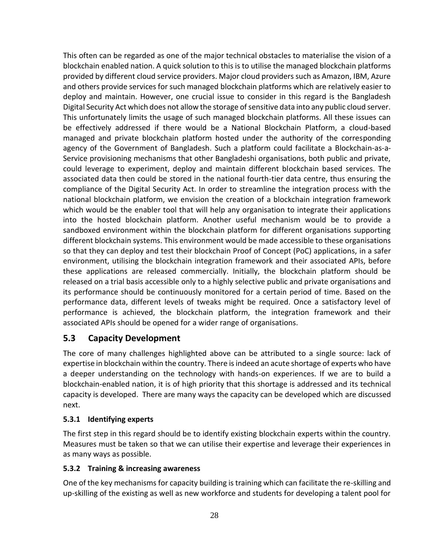This often can be regarded as one of the major technical obstacles to materialise the vision of a blockchain enabled nation. A quick solution to this is to utilise the managed blockchain platforms provided by different cloud service providers. Major cloud providers such as Amazon, IBM, Azure and others provide services for such managed blockchain platforms which are relatively easier to deploy and maintain. However, one crucial issue to consider in this regard is the Bangladesh Digital Security Act which does not allow the storage of sensitive data into any public cloud server. This unfortunately limits the usage of such managed blockchain platforms. All these issues can be effectively addressed if there would be a National Blockchain Platform, a cloud-based managed and private blockchain platform hosted under the authority of the corresponding agency of the Government of Bangladesh. Such a platform could facilitate a Blockchain-as-a-Service provisioning mechanisms that other Bangladeshi organisations, both public and private, could leverage to experiment, deploy and maintain different blockchain based services. The associated data then could be stored in the national fourth-tier data centre, thus ensuring the compliance of the Digital Security Act. In order to streamline the integration process with the national blockchain platform, we envision the creation of a blockchain integration framework which would be the enabler tool that will help any organisation to integrate their applications into the hosted blockchain platform. Another useful mechanism would be to provide a sandboxed environment within the blockchain platform for different organisations supporting different blockchain systems. This environment would be made accessible to these organisations so that they can deploy and test their blockchain Proof of Concept (PoC) applications, in a safer environment, utilising the blockchain integration framework and their associated APIs, before these applications are released commercially. Initially, the blockchain platform should be released on a trial basis accessible only to a highly selective public and private organisations and its performance should be continuously monitored for a certain period of time. Based on the performance data, different levels of tweaks might be required. Once a satisfactory level of performance is achieved, the blockchain platform, the integration framework and their associated APIs should be opened for a wider range of organisations.

## <span id="page-27-0"></span>**5.3 Capacity Development**

The core of many challenges highlighted above can be attributed to a single source: lack of expertise in blockchain within the country. There is indeed an acute shortage of experts who have a deeper understanding on the technology with hands-on experiences. If we are to build a blockchain-enabled nation, it is of high priority that this shortage is addressed and its technical capacity is developed. There are many ways the capacity can be developed which are discussed next.

#### <span id="page-27-1"></span>**5.3.1 Identifying experts**

The first step in this regard should be to identify existing blockchain experts within the country. Measures must be taken so that we can utilise their expertise and leverage their experiences in as many ways as possible.

#### <span id="page-27-2"></span>**5.3.2 Training & increasing awareness**

One of the key mechanisms for capacity building is training which can facilitate the re-skilling and up-skilling of the existing as well as new workforce and students for developing a talent pool for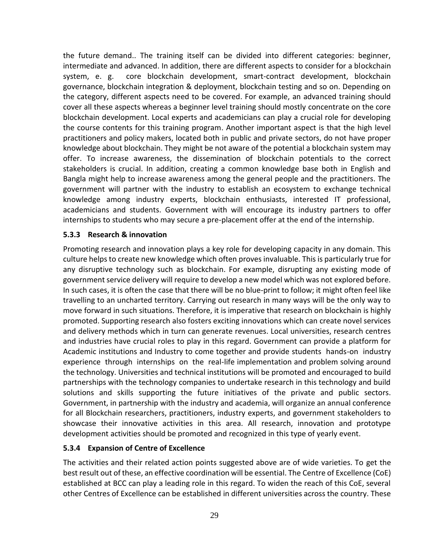the future demand.. The training itself can be divided into different categories: beginner, intermediate and advanced. In addition, there are different aspects to consider for a blockchain system, e. g. core blockchain development, smart-contract development, blockchain governance, blockchain integration & deployment, blockchain testing and so on. Depending on the category, different aspects need to be covered. For example, an advanced training should cover all these aspects whereas a beginner level training should mostly concentrate on the core blockchain development. Local experts and academicians can play a crucial role for developing the course contents for this training program. Another important aspect is that the high level practitioners and policy makers, located both in public and private sectors, do not have proper knowledge about blockchain. They might be not aware of the potential a blockchain system may offer. To increase awareness, the dissemination of blockchain potentials to the correct stakeholders is crucial. In addition, creating a common knowledge base both in English and Bangla might help to increase awareness among the general people and the practitioners. The government will partner with the industry to establish an ecosystem to exchange technical knowledge among industry experts, blockchain enthusiasts, interested IT professional, academicians and students. Government with will encourage its industry partners to offer internships to students who may secure a pre-placement offer at the end of the internship.

#### <span id="page-28-0"></span>**5.3.3 Research & innovation**

Promoting research and innovation plays a key role for developing capacity in any domain. This culture helps to create new knowledge which often proves invaluable. This is particularly true for any disruptive technology such as blockchain. For example, disrupting any existing mode of government service delivery will require to develop a new model which was not explored before. In such cases, it is often the case that there will be no blue-print to follow; it might often feel like travelling to an uncharted territory. Carrying out research in many ways will be the only way to move forward in such situations. Therefore, it is imperative that research on blockchain is highly promoted. Supporting research also fosters exciting innovations which can create novel services and delivery methods which in turn can generate revenues. Local universities, research centres and industries have crucial roles to play in this regard. Government can provide a platform for Academic institutions and Industry to come together and provide students hands-on industry experience through internships on the real-life implementation and problem solving around the technology. Universities and technical institutions will be promoted and encouraged to build partnerships with the technology companies to undertake research in this technology and build solutions and skills supporting the future initiatives of the private and public sectors. Government, in partnership with the industry and academia, will organize an annual conference for all Blockchain researchers, practitioners, industry experts, and government stakeholders to showcase their innovative activities in this area. All research, innovation and prototype development activities should be promoted and recognized in this type of yearly event.

#### <span id="page-28-1"></span>**5.3.4 Expansion of Centre of Excellence**

The activities and their related action points suggested above are of wide varieties. To get the best result out of these, an effective coordination will be essential. The Centre of Excellence (CoE) established at BCC can play a leading role in this regard. To widen the reach of this CoE, several other Centres of Excellence can be established in different universities across the country. These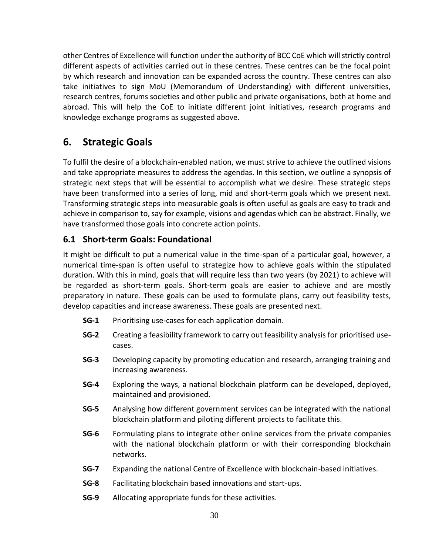other Centres of Excellence will function under the authority of BCC CoE which will strictly control different aspects of activities carried out in these centres. These centres can be the focal point by which research and innovation can be expanded across the country. These centres can also take initiatives to sign MoU (Memorandum of Understanding) with different universities, research centres, forums societies and other public and private organisations, both at home and abroad. This will help the CoE to initiate different joint initiatives, research programs and knowledge exchange programs as suggested above.

# <span id="page-29-0"></span>**6. Strategic Goals**

To fulfil the desire of a blockchain-enabled nation, we must strive to achieve the outlined visions and take appropriate measures to address the agendas. In this section, we outline a synopsis of strategic next steps that will be essential to accomplish what we desire. These strategic steps have been transformed into a series of long, mid and short-term goals which we present next. Transforming strategic steps into measurable goals is often useful as goals are easy to track and achieve in comparison to, say for example, visions and agendas which can be abstract. Finally, we have transformed those goals into concrete action points.

## <span id="page-29-1"></span>**6.1 Short-term Goals: Foundational**

It might be difficult to put a numerical value in the time-span of a particular goal, however, a numerical time-span is often useful to strategize how to achieve goals within the stipulated duration. With this in mind, goals that will require less than two years (by 2021) to achieve will be regarded as short-term goals. Short-term goals are easier to achieve and are mostly preparatory in nature. These goals can be used to formulate plans, carry out feasibility tests, develop capacities and increase awareness. These goals are presented next.

- **SG-1** Prioritising use-cases for each application domain.
- **SG-2** Creating a feasibility framework to carry out feasibility analysis for prioritised usecases.
- **SG-3** Developing capacity by promoting education and research, arranging training and increasing awareness.
- **SG-4** Exploring the ways, a national blockchain platform can be developed, deployed, maintained and provisioned.
- **SG-5** Analysing how different government services can be integrated with the national blockchain platform and piloting different projects to facilitate this.
- **SG-6** Formulating plans to integrate other online services from the private companies with the national blockchain platform or with their corresponding blockchain networks.
- **SG-7** Expanding the national Centre of Excellence with blockchain-based initiatives.
- **SG-8** Facilitating blockchain based innovations and start-ups.
- **SG-9** Allocating appropriate funds for these activities.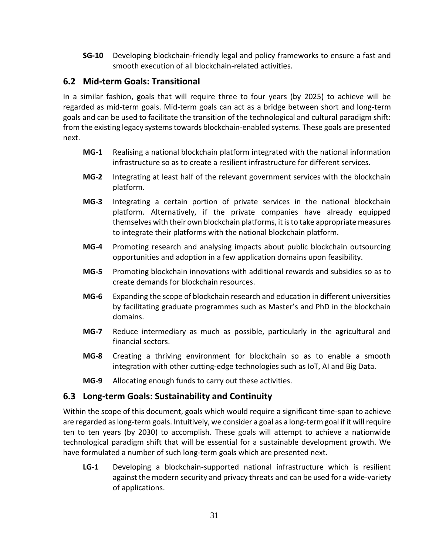**SG-10** Developing blockchain-friendly legal and policy frameworks to ensure a fast and smooth execution of all blockchain-related activities.

## <span id="page-30-0"></span>**6.2 Mid-term Goals: Transitional**

In a similar fashion, goals that will require three to four years (by 2025) to achieve will be regarded as mid-term goals. Mid-term goals can act as a bridge between short and long-term goals and can be used to facilitate the transition of the technological and cultural paradigm shift: from the existing legacy systems towards blockchain-enabled systems. These goals are presented next.

- **MG-1** Realising a national blockchain platform integrated with the national information infrastructure so as to create a resilient infrastructure for different services.
- **MG-2** Integrating at least half of the relevant government services with the blockchain platform.
- **MG-3** Integrating a certain portion of private services in the national blockchain platform. Alternatively, if the private companies have already equipped themselves with their own blockchain platforms, it is to take appropriate measures to integrate their platforms with the national blockchain platform.
- **MG-4** Promoting research and analysing impacts about public blockchain outsourcing opportunities and adoption in a few application domains upon feasibility.
- **MG-5** Promoting blockchain innovations with additional rewards and subsidies so as to create demands for blockchain resources.
- **MG-6** Expanding the scope of blockchain research and education in different universities by facilitating graduate programmes such as Master's and PhD in the blockchain domains.
- **MG-7** Reduce intermediary as much as possible, particularly in the agricultural and financial sectors.
- **MG-8** Creating a thriving environment for blockchain so as to enable a smooth integration with other cutting-edge technologies such as IoT, AI and Big Data.
- **MG-9** Allocating enough funds to carry out these activities.

## <span id="page-30-1"></span>**6.3 Long-term Goals: Sustainability and Continuity**

Within the scope of this document, goals which would require a significant time-span to achieve are regarded as long-term goals. Intuitively, we consider a goal as a long-term goal if it will require ten to ten years (by 2030) to accomplish. These goals will attempt to achieve a nationwide technological paradigm shift that will be essential for a sustainable development growth. We have formulated a number of such long-term goals which are presented next.

**LG-1** Developing a blockchain-supported national infrastructure which is resilient against the modern security and privacy threats and can be used for a wide-variety of applications.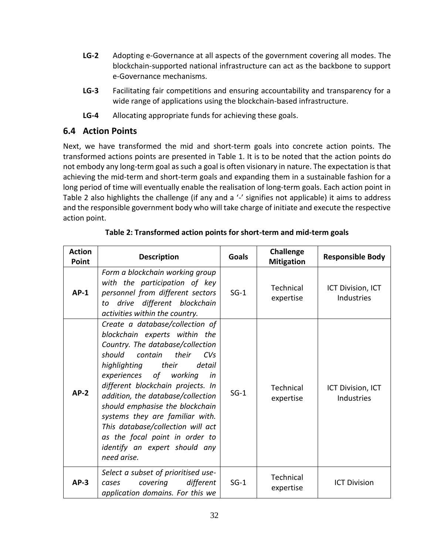- **LG-2** Adopting e-Governance at all aspects of the government covering all modes. The blockchain-supported national infrastructure can act as the backbone to support e-Governance mechanisms.
- **LG-3** Facilitating fair competitions and ensuring accountability and transparency for a wide range of applications using the blockchain-based infrastructure.
- **LG-4** Allocating appropriate funds for achieving these goals.

## <span id="page-31-0"></span>**6.4 Action Points**

Next, we have transformed the mid and short-term goals into concrete action points. The transformed actions points are presented in Table 1. It is to be noted that the action points do not embody any long-term goal as such a goal is often visionary in nature. The expectation is that achieving the mid-term and short-term goals and expanding them in a sustainable fashion for a long period of time will eventually enable the realisation of long-term goals. Each action point in Table 2 also highlights the challenge (if any and a '-' signifies not applicable) it aims to address and the responsible government body who will take charge of initiate and execute the respective action point.

| <b>Action</b><br>Point | <b>Description</b>                                                                                                                                                                                                                                                                                                                                                                                                                                                               | <b>Goals</b> | Challenge<br><b>Mitigation</b> | <b>Responsible Body</b>                |
|------------------------|----------------------------------------------------------------------------------------------------------------------------------------------------------------------------------------------------------------------------------------------------------------------------------------------------------------------------------------------------------------------------------------------------------------------------------------------------------------------------------|--------------|--------------------------------|----------------------------------------|
| $AP-1$                 | Form a blockchain working group<br>with the participation of key<br>personnel from different sectors<br>drive different blockchain<br>to<br>activities within the country.                                                                                                                                                                                                                                                                                                       | $SG-1$       | Technical<br>expertise         | ICT Division, ICT<br><b>Industries</b> |
| $AP-2$                 | Create a database/collection of<br>blockchain experts within the<br>Country. The database/collection<br>should contain<br>their<br>CVs<br>highlighting<br>their<br>detail<br>experiences of working<br>in<br>different blockchain projects. In<br>addition, the database/collection<br>should emphasise the blockchain<br>systems they are familiar with.<br>This database/collection will act<br>as the focal point in order to<br>identify an expert should any<br>need arise. | $SG-1$       | Technical<br>expertise         | ICT Division, ICT<br>Industries        |
| $AP-3$                 | Select a subset of prioritised use-<br>covering<br>different<br>cases<br>application domains. For this we                                                                                                                                                                                                                                                                                                                                                                        | $SG-1$       | Technical<br>expertise         | <b>ICT Division</b>                    |

|  | Table 2: Transformed action points for short-term and mid-term goals |  |
|--|----------------------------------------------------------------------|--|
|  |                                                                      |  |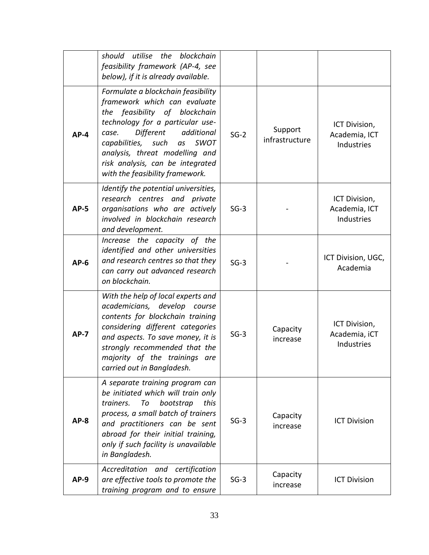|             | should utilise the blockchain<br>feasibility framework (AP-4, see<br>below), if it is already available.                                                                                                                                                                                                                           |        |                           |                                              |
|-------------|------------------------------------------------------------------------------------------------------------------------------------------------------------------------------------------------------------------------------------------------------------------------------------------------------------------------------------|--------|---------------------------|----------------------------------------------|
| $AP-4$      | Formulate a blockchain feasibility<br>framework which can evaluate<br>the feasibility of blockchain<br>technology for a particular use-<br>Different<br>additional<br>case.<br>capabilities,<br><b>SWOT</b><br>such<br>as<br>analysis, threat modelling and<br>risk analysis, can be integrated<br>with the feasibility framework. | $SG-2$ | Support<br>infrastructure | ICT Division,<br>Academia, ICT<br>Industries |
| <b>AP-5</b> | Identify the potential universities,<br>research centres and private<br>organisations who are actively<br>involved in blockchain research<br>and development.                                                                                                                                                                      | $SG-3$ |                           | ICT Division,<br>Academia, ICT<br>Industries |
| $AP-6$      | Increase the capacity of the<br>identified and other universities<br>and research centres so that they<br>can carry out advanced research<br>on blockchain.                                                                                                                                                                        | $SG-3$ |                           | ICT Division, UGC,<br>Academia               |
| $AP-7$      | With the help of local experts and<br>academicians, develop<br>course<br>contents for blockchain training<br>considering different categories<br>and aspects. To save money, it is<br>strongly recommended that the<br>majority of the trainings are<br>carried out in Bangladesh.                                                 | $SG-3$ | Capacity<br>increase      | ICT Division,<br>Academia, iCT<br>Industries |
| $AP-8$      | A separate training program can<br>be initiated which will train only<br>trainers.<br>bootstrap<br>this<br>To<br>process, a small batch of trainers<br>and practitioners can be sent<br>abroad for their initial training,<br>only if such facility is unavailable<br>in Bangladesh.                                               | $SG-3$ | Capacity<br>increase      | <b>ICT Division</b>                          |
| $AP-9$      | Accreditation and certification<br>are effective tools to promote the<br>training program and to ensure                                                                                                                                                                                                                            | $SG-3$ | Capacity<br>increase      | <b>ICT Division</b>                          |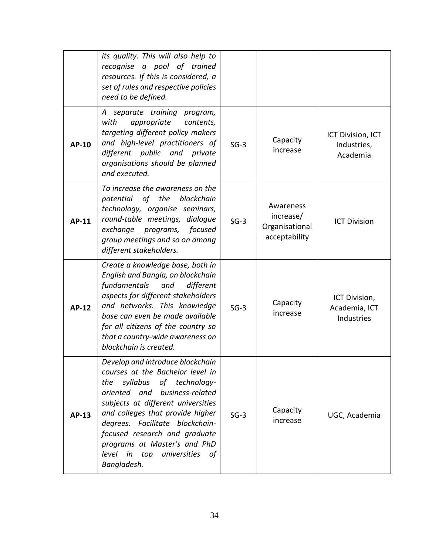|              | its quality. This will also help to<br>recognise a pool of trained<br>resources. If this is considered, a<br>set of rules and respective policies<br>need to be defined.                                                                                                                                                                                                  |        |                                                           |                                              |
|--------------|---------------------------------------------------------------------------------------------------------------------------------------------------------------------------------------------------------------------------------------------------------------------------------------------------------------------------------------------------------------------------|--------|-----------------------------------------------------------|----------------------------------------------|
| AP-10        | A separate training program,<br>with<br>appropriate<br>contents,<br>targeting different policy makers<br>and high-level practitioners of<br>different public and private<br>organisations should be planned<br>and executed.                                                                                                                                              | $SG-3$ | Capacity<br>increase                                      | ICT Division, ICT<br>Industries,<br>Academia |
| AP-11        | To increase the awareness on the<br>potential of the blockchain<br>technology, organise seminars,<br>round-table meetings, dialogue<br>exchange programs,<br>focused<br>group meetings and so on among<br>different stakeholders.                                                                                                                                         | $SG-3$ | Awareness<br>increase/<br>Organisational<br>acceptability | <b>ICT Division</b>                          |
| <b>AP-12</b> | Create a knowledge base, both in<br>English and Bangla, on blockchain<br>fundamentals<br>and<br>different<br>aspects for different stakeholders<br>and networks. This knowledge<br>base can even be made available<br>for all citizens of the country so<br>that a country-wide awareness on<br>blockchain is created.                                                    | $SG-3$ | Capacity<br>increase                                      | ICT Division,<br>Academia, ICT<br>Industries |
| <b>AP-13</b> | Develop and introduce blockchain<br>courses at the Bachelor level in<br>syllabus of technology-<br>the<br>oriented and business-related<br>subjects at different universities<br>and colleges that provide higher<br>degrees. Facilitate blockchain-<br>focused research and graduate<br>programs at Master's and PhD<br>level in top universities<br>- of<br>Bangladesh. | $SG-3$ | Capacity<br>increase                                      | UGC, Academia                                |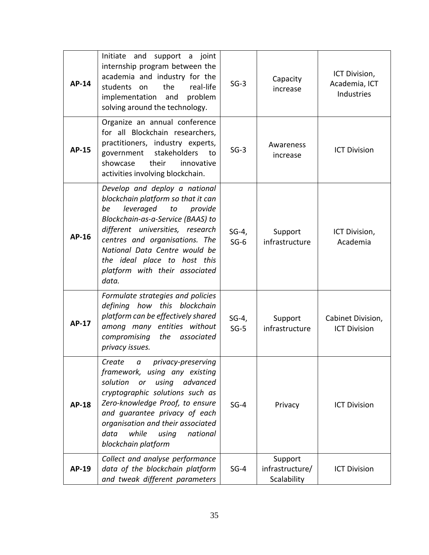| AP-14        | Initiate and<br>support a joint<br>internship program between the<br>academia and industry for the<br>the<br>real-life<br>students<br>on<br>implementation<br>problem<br>and<br>solving around the technology.                                                                                                                 | $SG-3$            | Capacity<br>increase                      | ICT Division,<br>Academia, ICT<br>Industries |
|--------------|--------------------------------------------------------------------------------------------------------------------------------------------------------------------------------------------------------------------------------------------------------------------------------------------------------------------------------|-------------------|-------------------------------------------|----------------------------------------------|
| <b>AP-15</b> | Organize an annual conference<br>for all Blockchain researchers,<br>practitioners, industry experts,<br>stakeholders<br>government<br>to<br>showcase<br>their<br>innovative<br>activities involving blockchain.                                                                                                                | $SG-3$            | Awareness<br>increase                     | <b>ICT Division</b>                          |
| AP-16        | Develop and deploy a national<br>blockchain platform so that it can<br>leveraged<br>be<br>provide<br>to<br>Blockchain-as-a-Service (BAAS) to<br>different universities, research<br>centres and organisations. The<br>National Data Centre would be<br>the ideal place to host this<br>platform with their associated<br>data. | $SG-4,$<br>$SG-6$ | Support<br>infrastructure                 | ICT Division,<br>Academia                    |
| <b>AP-17</b> | Formulate strategies and policies<br>defining how this blockchain<br>platform can be effectively shared<br>among many entities without<br>compromising<br>the<br>associated<br>privacy issues.                                                                                                                                 | $SG-4,$<br>$SG-5$ | Support<br>infrastructure                 | Cabinet Division,<br><b>ICT Division</b>     |
| <b>AP-18</b> | Create<br>privacy-preserving<br>$\alpha$<br>framework, using any existing<br>solution<br>using<br>advanced<br>or<br>cryptographic solutions such as<br>Zero-knowledge Proof, to ensure<br>and guarantee privacy of each<br>organisation and their associated<br>data<br>while<br>national<br>using<br>blockchain platform      | $SG-4$            | Privacy                                   | <b>ICT Division</b>                          |
| AP-19        | Collect and analyse performance<br>data of the blockchain platform<br>and tweak different parameters                                                                                                                                                                                                                           | $SG-4$            | Support<br>infrastructure/<br>Scalability | <b>ICT Division</b>                          |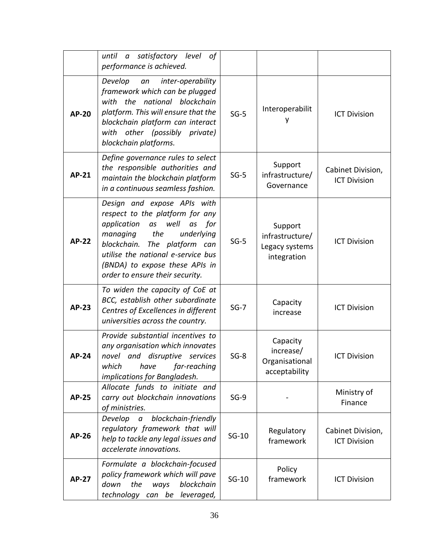|              | until a satisfactory level<br>0f<br>performance is achieved.                                                                                                                                                                                                                            |         |                                                             |                                          |
|--------------|-----------------------------------------------------------------------------------------------------------------------------------------------------------------------------------------------------------------------------------------------------------------------------------------|---------|-------------------------------------------------------------|------------------------------------------|
| <b>AP-20</b> | inter-operability<br>Develop<br>an<br>framework which can be plugged<br>with the<br>national blockchain<br>platform. This will ensure that the<br>blockchain platform can interact<br>with other (possibly private)<br>blockchain platforms.                                            | $SG-5$  | Interoperabilit                                             | <b>ICT Division</b>                      |
| <b>AP-21</b> | Define governance rules to select<br>the responsible authorities and<br>maintain the blockchain platform<br>in a continuous seamless fashion.                                                                                                                                           | $SG-5$  | Support<br>infrastructure/<br>Governance                    | Cabinet Division,<br><b>ICT Division</b> |
| <b>AP-22</b> | Design and expose APIs with<br>respect to the platform for any<br>application<br>as<br>well<br>for<br>as<br>the<br>managing<br>underlying<br>blockchain.<br>The platform can<br>utilise the national e-service bus<br>(BNDA) to expose these APIs in<br>order to ensure their security. | $SG-5$  | Support<br>infrastructure/<br>Legacy systems<br>integration | <b>ICT Division</b>                      |
| <b>AP-23</b> | To widen the capacity of CoE at<br>BCC, establish other subordinate<br>Centres of Excellences in different<br>universities across the country.                                                                                                                                          | $SG-7$  | Capacity<br>increase                                        | <b>ICT Division</b>                      |
| <b>AP-24</b> | Provide substantial incentives to<br>any organisation which innovates<br>novel and disruptive services<br>which<br>have<br>far-reaching<br>implications for Bangladesh.                                                                                                                 | $SG-8$  | Capacity<br>increase/<br>Organisational<br>acceptability    | <b>ICT Division</b>                      |
| <b>AP-25</b> | Allocate funds to initiate and<br>carry out blockchain innovations<br>of ministries.                                                                                                                                                                                                    | $SG-9$  |                                                             | Ministry of<br>Finance                   |
| <b>AP-26</b> | Develop a blockchain-friendly<br>regulatory framework that will<br>help to tackle any legal issues and<br>accelerate innovations.                                                                                                                                                       | $SG-10$ | Regulatory<br>framework                                     | Cabinet Division,<br><b>ICT Division</b> |
| <b>AP-27</b> | Formulate a blockchain-focused<br>policy framework which will pave<br>the<br>blockchain<br>down<br>ways<br>technology can be<br>leveraged,                                                                                                                                              | $SG-10$ | Policy<br>framework                                         | <b>ICT Division</b>                      |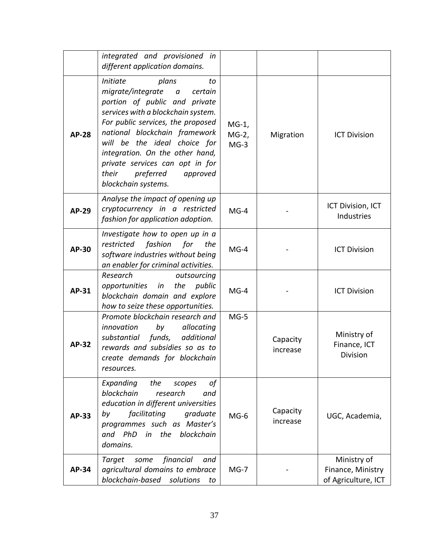|              | integrated and provisioned in<br>different application domains.                                                                                                                                                                                                                                                                                                                                |                               |                      |                                                         |
|--------------|------------------------------------------------------------------------------------------------------------------------------------------------------------------------------------------------------------------------------------------------------------------------------------------------------------------------------------------------------------------------------------------------|-------------------------------|----------------------|---------------------------------------------------------|
| <b>AP-28</b> | <b>Initiate</b><br>plans<br>to<br>migrate/integrate<br>$\boldsymbol{a}$<br>certain<br>portion of public and private<br>services with a blockchain system.<br>For public services, the proposed<br>national blockchain framework<br>will be the ideal choice for<br>integration. On the other hand,<br>private services can opt in for<br>their<br>preferred<br>approved<br>blockchain systems. | $MG-1$ ,<br>$MG-2,$<br>$MG-3$ | Migration            | <b>ICT Division</b>                                     |
| AP-29        | Analyse the impact of opening up<br>cryptocurrency in a restricted<br>fashion for application adoption.                                                                                                                                                                                                                                                                                        | $MG-4$                        |                      | ICT Division, ICT<br>Industries                         |
| AP-30        | Investigate how to open up in a<br>restricted<br>fashion<br>for<br>the<br>software industries without being<br>an enabler for criminal activities.                                                                                                                                                                                                                                             | $MG-4$                        |                      | <b>ICT Division</b>                                     |
| AP-31        | Research<br>outsourcing<br>opportunities<br>the<br>public<br>in<br>blockchain domain and explore<br>how to seize these opportunities.                                                                                                                                                                                                                                                          | $MG-4$                        |                      | <b>ICT Division</b>                                     |
| <b>AP-32</b> | Promote blockchain research and<br>innovation<br>by<br>allocating<br>funds,<br>additional<br>substantial<br>rewards and subsidies so as to<br>create demands for blockchain<br>resources.                                                                                                                                                                                                      | $MG-5$                        | Capacity<br>increase | Ministry of<br>Finance, ICT<br>Division                 |
| <b>AP-33</b> | Expanding<br>the<br>οf<br>scopes<br>blockchain<br>research<br>and<br>education in different universities<br>facilitating<br>by<br>graduate<br>programmes such as Master's<br>PhD<br>in the blockchain<br>and<br>domains.                                                                                                                                                                       | $MG-6$                        | Capacity<br>increase | UGC, Academia,                                          |
| <b>AP-34</b> | financial<br>Target some<br>and<br>agricultural domains to embrace<br>blockchain-based solutions<br>to                                                                                                                                                                                                                                                                                         | $MG-7$                        |                      | Ministry of<br>Finance, Ministry<br>of Agriculture, ICT |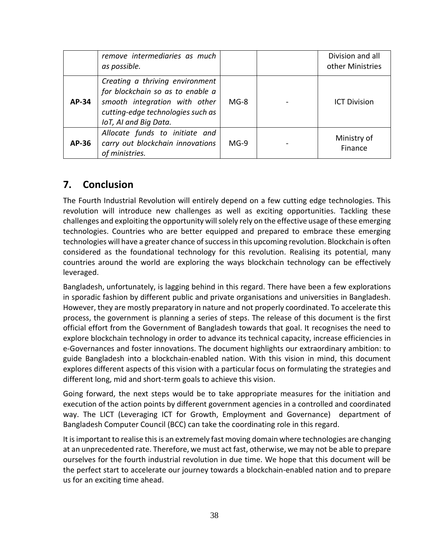|       | remove intermediaries as much<br>as possible.                                                                                                                      |        | Division and all<br>other Ministries |
|-------|--------------------------------------------------------------------------------------------------------------------------------------------------------------------|--------|--------------------------------------|
| AP-34 | Creating a thriving environment<br>for blockchain so as to enable a<br>smooth integration with other<br>cutting-edge technologies such as<br>IoT, AI and Big Data. | $MG-8$ | <b>ICT Division</b>                  |
| AP-36 | Allocate funds to initiate and<br>carry out blockchain innovations<br>of ministries.                                                                               | $MG-9$ | Ministry of<br>Finance               |

## <span id="page-37-0"></span>**7. Conclusion**

The Fourth Industrial Revolution will entirely depend on a few cutting edge technologies. This revolution will introduce new challenges as well as exciting opportunities. Tackling these challenges and exploiting the opportunity will solely rely on the effective usage of these emerging technologies. Countries who are better equipped and prepared to embrace these emerging technologies will have a greater chance of success in this upcoming revolution. Blockchain is often considered as the foundational technology for this revolution. Realising its potential, many countries around the world are exploring the ways blockchain technology can be effectively leveraged.

Bangladesh, unfortunately, is lagging behind in this regard. There have been a few explorations in sporadic fashion by different public and private organisations and universities in Bangladesh. However, they are mostly preparatory in nature and not properly coordinated. To accelerate this process, the government is planning a series of steps. The release of this document is the first official effort from the Government of Bangladesh towards that goal. It recognises the need to explore blockchain technology in order to advance its technical capacity, increase efficiencies in e-Governances and foster innovations. The document highlights our extraordinary ambition: to guide Bangladesh into a blockchain-enabled nation. With this vision in mind, this document explores different aspects of this vision with a particular focus on formulating the strategies and different long, mid and short-term goals to achieve this vision.

Going forward, the next steps would be to take appropriate measures for the initiation and execution of the action points by different government agencies in a controlled and coordinated way. The LICT (Leveraging ICT for Growth, Employment and Governance) department of Bangladesh Computer Council (BCC) can take the coordinating role in this regard.

It is important to realise this is an extremely fast moving domain where technologies are changing at an unprecedented rate. Therefore, we must act fast, otherwise, we may not be able to prepare ourselves for the fourth industrial revolution in due time. We hope that this document will be the perfect start to accelerate our journey towards a blockchain-enabled nation and to prepare us for an exciting time ahead.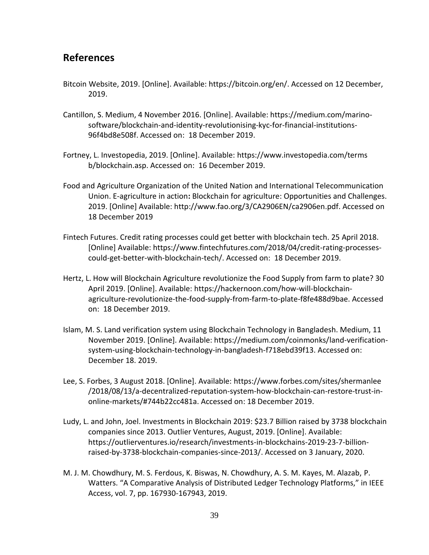## <span id="page-38-0"></span>**References**

- Bitcoin Website, 2019. [Online]. Available: https://bitcoin.org/en/. Accessed on 12 December, 2019.
- Cantillon, S. Medium, 4 November 2016. [Online]. Available: https://medium.com/marinosoftware/blockchain-and-identity-revolutionising-kyc-for-financial-institutions-96f4bd8e508f. Accessed on: 18 December 2019.
- Fortney, L. Investopedia, 2019. [Online]. Available: https://www.investopedia.com/terms b/blockchain.asp. Accessed on: 16 December 2019.
- Food and Agriculture Organization of the United Nation and International Telecommunication Union. E-agriculture in action**:** Blockchain for agriculture: Opportunities and Challenges. 2019. [Online] Available: http://www.fao.org/3/CA2906EN/ca2906en.pdf. Accessed on 18 December 2019
- Fintech Futures. Credit rating processes could get better with blockchain tech. 25 April 2018. [Online] Available: https://www.fintechfutures.com/2018/04/credit-rating-processescould-get-better-with-blockchain-tech/. Accessed on: 18 December 2019.
- Hertz, L. How will Blockchain Agriculture revolutionize the Food Supply from farm to plate? 30 April 2019. [Online]. Available: https://hackernoon.com/how-will-blockchainagriculture-revolutionize-the-food-supply-from-farm-to-plate-f8fe488d9bae. Accessed on: 18 December 2019.
- Islam, M. S. Land verification system using Blockchain Technology in Bangladesh. Medium, 11 November 2019. [Online]. Available: https://medium.com/coinmonks/land-verificationsystem-using-blockchain-technology-in-bangladesh-f718ebd39f13. Accessed on: December 18. 2019.
- Lee, S. Forbes, 3 August 2018. [Online]. Available: https://www.forbes.com/sites/shermanlee /2018/08/13/a-decentralized-reputation-system-how-blockchain-can-restore-trust-inonline-markets/#744b22cc481a. Accessed on: 18 December 2019.
- Ludy, L. and John, Joel. Investments in Blockchain 2019: \$23.7 Billion raised by 3738 blockchain companies since 2013. Outlier Ventures, August, 2019. [Online]. Available: https://outlierventures.io/research/investments-in-blockchains-2019-23-7-billionraised-by-3738-blockchain-companies-since-2013/. Accessed on 3 January, 2020.
- M. J. M. Chowdhury, M. S. Ferdous, K. Biswas, N. Chowdhury, A. S. M. Kayes, M. Alazab, P. Watters. "A Comparative Analysis of Distributed Ledger Technology Platforms," in IEEE Access, vol. 7, pp. 167930-167943, 2019.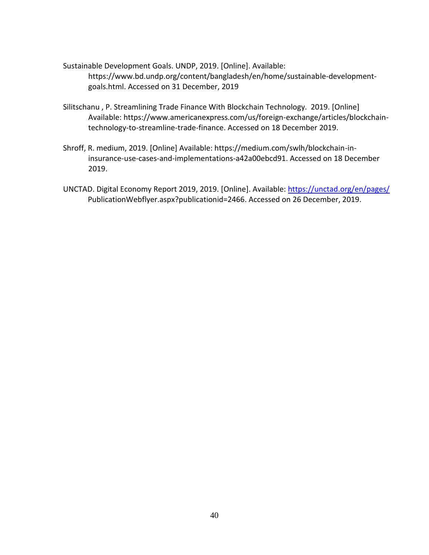- Sustainable Development Goals. UNDP, 2019. [Online]. Available: https://www.bd.undp.org/content/bangladesh/en/home/sustainable-developmentgoals.html. Accessed on 31 December, 2019
- Silitschanu , P. Streamlining Trade Finance With Blockchain Technology. 2019. [Online] Available: https://www.americanexpress.com/us/foreign-exchange/articles/blockchaintechnology-to-streamline-trade-finance. Accessed on 18 December 2019.
- Shroff, R. medium, 2019. [Online] Available: https://medium.com/swlh/blockchain-ininsurance-use-cases-and-implementations-a42a00ebcd91. Accessed on 18 December 2019.
- UNCTAD. Digital Economy Report 2019, 2019. [Online]. Available[: https://unctad.org/en/pages/](https://unctad.org/en/pages/) PublicationWebflyer.aspx?publicationid=2466. Accessed on 26 December, 2019.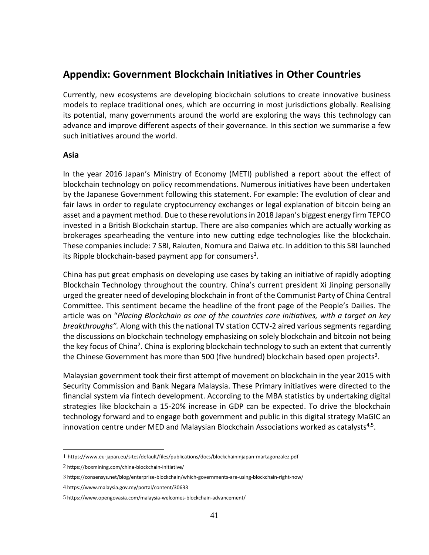## <span id="page-40-0"></span>**Appendix: Government Blockchain Initiatives in Other Countries**

Currently, new ecosystems are developing blockchain solutions to create innovative business models to replace traditional ones, which are occurring in most jurisdictions globally. Realising its potential, many governments around the world are exploring the ways this technology can advance and improve different aspects of their governance. In this section we summarise a few such initiatives around the world.

#### <span id="page-40-1"></span>**Asia**

In the year 2016 Japan's Ministry of Economy (METI) published a report about the effect of blockchain technology on policy recommendations. Numerous initiatives have been undertaken by the Japanese Government following this statement. For example: The evolution of clear and fair laws in order to regulate cryptocurrency exchanges or legal explanation of bitcoin being an asset and a payment method. Due to these revolutions in 2018 Japan's biggest energy firm TEPCO invested in a British Blockchain startup. There are also companies which are actually working as brokerages spearheading the venture into new cutting edge technologies like the blockchain. These companies include: 7 SBI, Rakuten, Nomura and Daiwa etc. In addition to this SBI launched its Ripple blockchain-based payment app for consumers<sup>1</sup>.

China has put great emphasis on developing use cases by taking an initiative of rapidly adopting Blockchain Technology throughout the country. China's current president Xi Jinping personally urged the greater need of developing blockchain in front of the Communist Party of China Central Committee. This sentiment became the headline of the front page of the People's Dailies. The article was on "*Placing Blockchain as one of the countries core initiatives, with a target on key breakthroughs".* Along with this the national TV station CCTV-2 aired various segments regarding the discussions on blockchain technology emphasizing on solely blockchain and bitcoin not being the key focus of China<sup>2</sup>. China is exploring blockchain technology to such an extent that currently the Chinese Government has more than 500 (five hundred) blockchain based open projects<sup>3</sup>.

Malaysian government took their first attempt of movement on blockchain in the year 2015 with Security Commission and Bank Negara Malaysia. These Primary initiatives were directed to the financial system via fintech development. According to the MBA statistics by undertaking digital strategies like blockchain a 15-20% increase in GDP can be expected. To drive the blockchain technology forward and to engage both government and public in this digital strategy MaGIC an innovation centre under MED and Malaysian Blockchain Associations worked as catalysts<sup>4,5</sup>.

<sup>1</sup> https://www.eu-japan.eu/sites/default/files/publications/docs/blockchaininjapan-martagonzalez.pdf

<sup>2</sup> https://boxmining.com/china-blockchain-initiative/

<sup>3</sup> https://consensys.net/blog/enterprise-blockchain/which-governments-are-using-blockchain-right-now/

<sup>4</sup> https://www.malaysia.gov.my/portal/content/30633

<sup>5</sup> https://www.opengovasia.com/malaysia-welcomes-blockchain-advancement/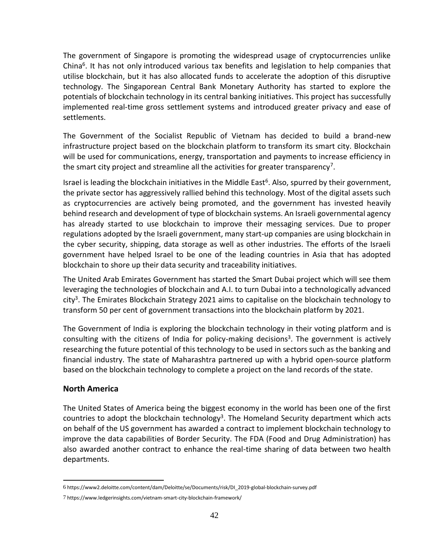The government of Singapore is promoting the widespread usage of cryptocurrencies unlike China<sup>6</sup>. It has not only introduced various tax benefits and legislation to help companies that utilise blockchain, but it has also allocated funds to accelerate the adoption of this disruptive technology. The Singaporean Central Bank Monetary Authority has started to explore the potentials of blockchain technology in its central banking initiatives. This project has successfully implemented real-time gross settlement systems and introduced greater privacy and ease of settlements.

The Government of the Socialist Republic of Vietnam has decided to build a brand-new infrastructure project based on the blockchain platform to transform its smart city. Blockchain will be used for communications, energy, transportation and payments to increase efficiency in the smart city project and streamline all the activities for greater transparency<sup>7</sup>.

Israel is leading the blockchain initiatives in the Middle East<sup>6</sup>. Also, spurred by their government, the private sector has aggressively rallied behind this technology. Most of the digital assets such as cryptocurrencies are actively being promoted, and the government has invested heavily behind research and development of type of blockchain systems. An Israeli governmental agency has already started to use blockchain to improve their messaging services. Due to proper regulations adopted by the Israeli government, many start-up companies are using blockchain in the cyber security, shipping, data storage as well as other industries. The efforts of the Israeli government have helped Israel to be one of the leading countries in Asia that has adopted blockchain to shore up their data security and traceability initiatives.

The United Arab Emirates Government has started the Smart Dubai project which will see them leveraging the technologies of blockchain and A.I. to turn Dubai into a technologically advanced city<sup>3</sup>. The Emirates Blockchain Strategy 2021 aims to capitalise on the blockchain technology to transform 50 per cent of government transactions into the blockchain platform by 2021.

The Government of India is exploring the blockchain technology in their voting platform and is consulting with the citizens of India for policy-making decisions<sup>3</sup>. The government is actively researching the future potential of this technology to be used in sectors such as the banking and financial industry. The state of Maharashtra partnered up with a hybrid open-source platform based on the blockchain technology to complete a project on the land records of the state.

#### <span id="page-41-0"></span>**North America**

The United States of America being the biggest economy in the world has been one of the first countries to adopt the blockchain technology<sup>3</sup>. The Homeland Security department which acts on behalf of the US government has awarded a contract to implement blockchain technology to improve the data capabilities of Border Security. The FDA (Food and Drug Administration) has also awarded another contract to enhance the real-time sharing of data between two health departments.

<sup>6</sup> https://www2.deloitte.com/content/dam/Deloitte/se/Documents/risk/DI\_2019-global-blockchain-survey.pdf

<sup>7</sup> https://www.ledgerinsights.com/vietnam-smart-city-blockchain-framework/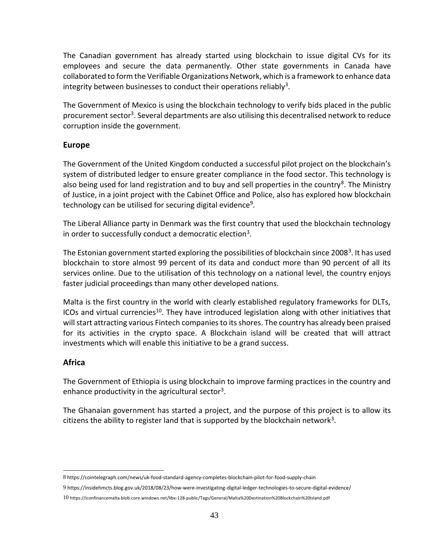The Canadian government has already started using blockchain to issue digital CVs for its employees and secure the data permanently. Other state governments in Canada have collaborated to form the Verifiable Organizations Network, which is a framework to enhance data integrity between businesses to conduct their operations reliably<sup>3</sup>.

The Government of Mexico is using the blockchain technology to verify bids placed in the public procurement sector<sup>3</sup>. Several departments are also utilising this decentralised network to reduce corruption inside the government.

#### <span id="page-42-0"></span>**Europe**

The Government of the United Kingdom conducted a successful pilot project on the blockchain's system of distributed ledger to ensure greater compliance in the food sector. This technology is also being used for land registration and to buy and sell properties in the country<sup>8</sup>. The Ministry of Justice, in a joint project with the Cabinet Office and Police, also has explored how blockchain technology can be utilised for securing digital evidence<sup>9</sup>.

The Liberal Alliance party in Denmark was the first country that used the blockchain technology in order to successfully conduct a democratic election<sup>3</sup>.

The Estonian government started exploring the possibilities of blockchain since 2008<sup>3</sup>. It has used blockchain to store almost 99 percent of its data and conduct more than 90 percent of all its services online. Due to the utilisation of this technology on a national level, the country enjoys faster judicial proceedings than many other developed nations.

Malta is the first country in the world with clearly established regulatory frameworks for DLTs, ICOs and virtual currencies<sup>10</sup>. They have introduced legislation along with other initiatives that will start attracting various Fintech companies to its shores. The country has already been praised for its activities in the crypto space. A Blockchain island will be created that will attract investments which will enable this initiative to be a grand success.

#### <span id="page-42-1"></span>**Africa**

The Government of Ethiopia is using blockchain to improve farming practices in the country and enhance productivity in the agricultural sector<sup>3</sup>.

The Ghanaian government has started a project, and the purpose of this project is to allow its citizens the ability to register land that is supported by the blockchain network<sup>3</sup>.

10 https://iconfinancemalta.blob.core.windows.net/libx-128-public/Tags/General/Malta%20Destination%20Blockchain%20Island.pdf

<sup>8</sup> https://cointelegraph.com/news/uk-food-standard-agency-completes-blockchain-pilot-for-food-supply-chain

<sup>9</sup> https://insidehmcts.blog.gov.uk/2018/08/23/how-were-investigating-digital-ledger-technologies-to-secure-digital-evidence/